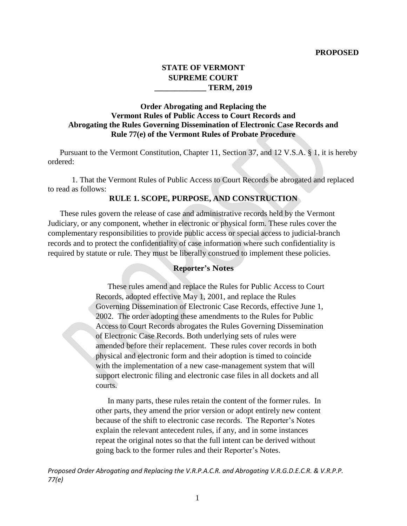#### **PROPOSED**

# **STATE OF VERMONT SUPREME COURT \_\_\_\_\_\_\_\_\_\_\_\_\_ TERM, 2019**

# **Order Abrogating and Replacing the Vermont Rules of Public Access to Court Records and Abrogating the Rules Governing Dissemination of Electronic Case Records and Rule 77(e) of the Vermont Rules of Probate Procedure**

Pursuant to the Vermont Constitution, Chapter 11, Section 37, and 12 V.S.A. § 1, it is hereby ordered:

1. That the Vermont Rules of Public Access to Court Records be abrogated and replaced to read as follows:

### **RULE 1. SCOPE, PURPOSE, AND CONSTRUCTION**

These rules govern the release of case and administrative records held by the Vermont Judiciary, or any component, whether in electronic or physical form. These rules cover the complementary responsibilities to provide public access or special access to judicial-branch records and to protect the confidentiality of case information where such confidentiality is required by statute or rule. They must be liberally construed to implement these policies.

### **Reporter's Notes**

These rules amend and replace the Rules for Public Access to Court Records, adopted effective May 1, 2001, and replace the Rules Governing Dissemination of Electronic Case Records, effective June 1, 2002. The order adopting these amendments to the Rules for Public Access to Court Records abrogates the Rules Governing Dissemination of Electronic Case Records. Both underlying sets of rules were amended before their replacement. These rules cover records in both physical and electronic form and their adoption is timed to coincide with the implementation of a new case-management system that will support electronic filing and electronic case files in all dockets and all courts.

In many parts, these rules retain the content of the former rules. In other parts, they amend the prior version or adopt entirely new content because of the shift to electronic case records. The Reporter's Notes explain the relevant antecedent rules, if any, and in some instances repeat the original notes so that the full intent can be derived without going back to the former rules and their Reporter's Notes.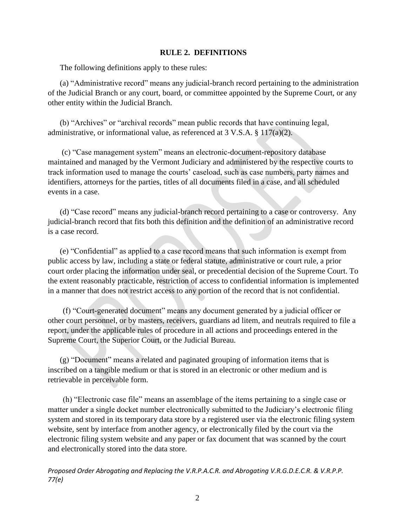#### **RULE 2. DEFINITIONS**

The following definitions apply to these rules:

(a) "Administrative record" means any judicial-branch record pertaining to the administration of the Judicial Branch or any court, board, or committee appointed by the Supreme Court, or any other entity within the Judicial Branch.

(b) "Archives" or "archival records" mean public records that have continuing legal, administrative, or informational value, as referenced at 3 V.S.A. § 117(a)(2).

(c) "Case management system" means an electronic-document-repository database maintained and managed by the Vermont Judiciary and administered by the respective courts to track information used to manage the courts' caseload, such as case numbers, party names and identifiers, attorneys for the parties, titles of all documents filed in a case, and all scheduled events in a case.

(d) "Case record" means any judicial-branch record pertaining to a case or controversy. Any judicial-branch record that fits both this definition and the definition of an administrative record is a case record.

(e) "Confidential" as applied to a case record means that such information is exempt from public access by law, including a state or federal statute, administrative or court rule, a prior court order placing the information under seal, or precedential decision of the Supreme Court. To the extent reasonably practicable, restriction of access to confidential information is implemented in a manner that does not restrict access to any portion of the record that is not confidential.

(f) "Court-generated document" means any document generated by a judicial officer or other court personnel, or by masters, receivers, guardians ad litem, and neutrals required to file a report, under the applicable rules of procedure in all actions and proceedings entered in the Supreme Court, the Superior Court, or the Judicial Bureau.

(g) "Document" means a related and paginated grouping of information items that is inscribed on a tangible medium or that is stored in an electronic or other medium and is retrievable in perceivable form.

(h) "Electronic case file" means an assemblage of the items pertaining to a single case or matter under a single docket number electronically submitted to the Judiciary's electronic filing system and stored in its temporary data store by a registered user via the electronic filing system website, sent by interface from another agency, or electronically filed by the court via the electronic filing system website and any paper or fax document that was scanned by the court and electronically stored into the data store.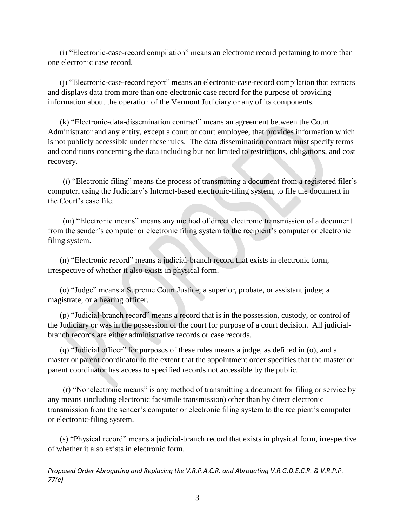(i) "Electronic-case-record compilation" means an electronic record pertaining to more than one electronic case record.

(j) "Electronic-case-record report" means an electronic-case-record compilation that extracts and displays data from more than one electronic case record for the purpose of providing information about the operation of the Vermont Judiciary or any of its components.

(k) "Electronic-data-dissemination contract" means an agreement between the Court Administrator and any entity, except a court or court employee, that provides information which is not publicly accessible under these rules. The data dissemination contract must specify terms and conditions concerning the data including but not limited to restrictions, obligations, and cost recovery.

(*l*) "Electronic filing" means the process of transmitting a document from a registered filer's computer, using the Judiciary's Internet-based electronic-filing system, to file the document in the Court's case file.

(m) "Electronic means" means any method of direct electronic transmission of a document from the sender's computer or electronic filing system to the recipient's computer or electronic filing system.

(n) "Electronic record" means a judicial-branch record that exists in electronic form, irrespective of whether it also exists in physical form.

(o) "Judge" means a Supreme Court Justice; a superior, probate, or assistant judge; a magistrate; or a hearing officer.

(p) "Judicial-branch record" means a record that is in the possession, custody, or control of the Judiciary or was in the possession of the court for purpose of a court decision. All judicialbranch records are either administrative records or case records.

(q) "Judicial officer" for purposes of these rules means a judge, as defined in (o), and a master or parent coordinator to the extent that the appointment order specifies that the master or parent coordinator has access to specified records not accessible by the public.

(r) "Nonelectronic means" is any method of transmitting a document for filing or service by any means (including electronic facsimile transmission) other than by direct electronic transmission from the sender's computer or electronic filing system to the recipient's computer or electronic-filing system.

(s) "Physical record" means a judicial-branch record that exists in physical form, irrespective of whether it also exists in electronic form.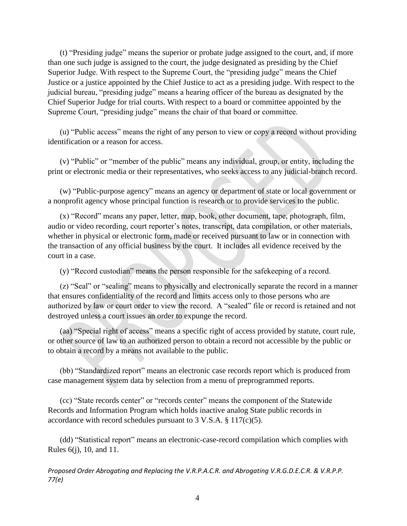(t) "Presiding judge" means the superior or probate judge assigned to the court, and, if more than one such judge is assigned to the court, the judge designated as presiding by the Chief Superior Judge. With respect to the Supreme Court, the "presiding judge" means the Chief Justice or a justice appointed by the Chief Justice to act as a presiding judge. With respect to the judicial bureau, "presiding judge" means a hearing officer of the bureau as designated by the Chief Superior Judge for trial courts. With respect to a board or committee appointed by the Supreme Court, "presiding judge" means the chair of that board or committee.

(u) "Public access" means the right of any person to view or copy a record without providing identification or a reason for access.

(v) "Public" or "member of the public" means any individual, group, or entity, including the print or electronic media or their representatives, who seeks access to any judicial-branch record.

(w) "Public-purpose agency" means an agency or department of state or local government or a nonprofit agency whose principal function is research or to provide services to the public.

(x) "Record" means any paper, letter, map, book, other document, tape, photograph, film, audio or video recording, court reporter's notes, transcript, data compilation, or other materials, whether in physical or electronic form, made or received pursuant to law or in connection with the transaction of any official business by the court. It includes all evidence received by the court in a case.

(y) "Record custodian" means the person responsible for the safekeeping of a record.

(z) "Seal" or "sealing" means to physically and electronically separate the record in a manner that ensures confidentiality of the record and limits access only to those persons who are authorized by law or court order to view the record. A "sealed" file or record is retained and not destroyed unless a court issues an order to expunge the record.

(aa) "Special right of access" means a specific right of access provided by statute, court rule, or other source of law to an authorized person to obtain a record not accessible by the public or to obtain a record by a means not available to the public.

(bb) "Standardized report" means an electronic case records report which is produced from case management system data by selection from a menu of preprogrammed reports.

(cc) "State records center" or "records center" means the component of the Statewide Records and Information Program which holds inactive analog State public records in accordance with record schedules pursuant to 3 V.S.A.  $\S 117(c)(5)$ .

(dd) "Statistical report" means an electronic-case-record compilation which complies with Rules 6(j), 10, and 11.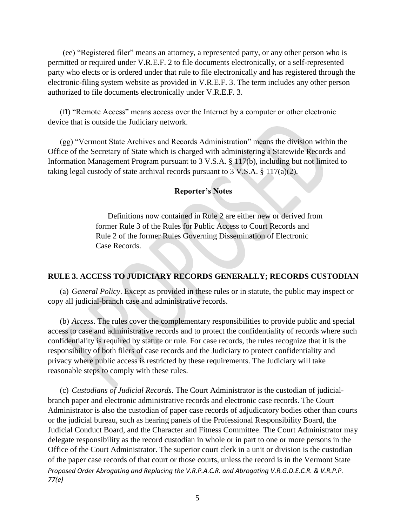(ee) "Registered filer" means an attorney, a represented party, or any other person who is permitted or required under V.R.E.F. 2 to file documents electronically, or a self-represented party who elects or is ordered under that rule to file electronically and has registered through the electronic-filing system website as provided in V.R.E.F. 3. The term includes any other person authorized to file documents electronically under V.R.E.F. 3.

(ff) "Remote Access" means access over the Internet by a computer or other electronic device that is outside the Judiciary network.

(gg) "Vermont State Archives and Records Administration" means the division within the Office of the Secretary of State which is charged with administering a Statewide Records and Information Management Program pursuant to 3 V.S.A. § 117(b), including but not limited to taking legal custody of state archival records pursuant to  $3 \text{ V.S.A.} \$   $117(a)(2)$ .

## **Reporter's Notes**

Definitions now contained in Rule 2 are either new or derived from former Rule 3 of the Rules for Public Access to Court Records and Rule 2 of the former Rules Governing Dissemination of Electronic Case Records.

# **RULE 3. ACCESS TO JUDICIARY RECORDS GENERALLY; RECORDS CUSTODIAN**

(a) *General Policy*. Except as provided in these rules or in statute, the public may inspect or copy all judicial-branch case and administrative records.

(b) *Access*. The rules cover the complementary responsibilities to provide public and special access to case and administrative records and to protect the confidentiality of records where such confidentiality is required by statute or rule. For case records, the rules recognize that it is the responsibility of both filers of case records and the Judiciary to protect confidentiality and privacy where public access is restricted by these requirements. The Judiciary will take reasonable steps to comply with these rules.

*Proposed Order Abrogating and Replacing the V.R.P.A.C.R. and Abrogating V.R.G.D.E.C.R. & V.R.P.P. 77(e)* (c) *Custodians of Judicial Records*. The Court Administrator is the custodian of judicialbranch paper and electronic administrative records and electronic case records. The Court Administrator is also the custodian of paper case records of adjudicatory bodies other than courts or the judicial bureau, such as hearing panels of the Professional Responsibility Board, the Judicial Conduct Board, and the Character and Fitness Committee. The Court Administrator may delegate responsibility as the record custodian in whole or in part to one or more persons in the Office of the Court Administrator. The superior court clerk in a unit or division is the custodian of the paper case records of that court or those courts, unless the record is in the Vermont State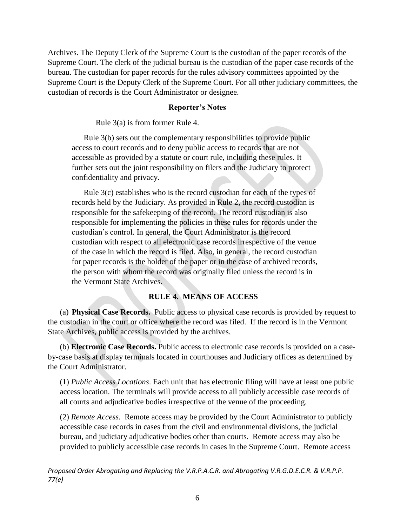Archives. The Deputy Clerk of the Supreme Court is the custodian of the paper records of the Supreme Court. The clerk of the judicial bureau is the custodian of the paper case records of the bureau. The custodian for paper records for the rules advisory committees appointed by the Supreme Court is the Deputy Clerk of the Supreme Court. For all other judiciary committees, the custodian of records is the Court Administrator or designee.

### **Reporter's Notes**

Rule 3(a) is from former Rule 4.

Rule 3(b) sets out the complementary responsibilities to provide public access to court records and to deny public access to records that are not accessible as provided by a statute or court rule, including these rules. It further sets out the joint responsibility on filers and the Judiciary to protect confidentiality and privacy.

Rule 3(c) establishes who is the record custodian for each of the types of records held by the Judiciary. As provided in Rule 2, the record custodian is responsible for the safekeeping of the record. The record custodian is also responsible for implementing the policies in these rules for records under the custodian's control. In general, the Court Administrator is the record custodian with respect to all electronic case records irrespective of the venue of the case in which the record is filed. Also, in general, the record custodian for paper records is the holder of the paper or in the case of archived records, the person with whom the record was originally filed unless the record is in the Vermont State Archives.

## **RULE 4. MEANS OF ACCESS**

(a) **Physical Case Records.** Public access to physical case records is provided by request to the custodian in the court or office where the record was filed. If the record is in the Vermont State Archives, public access is provided by the archives.

(b) **Electronic Case Records.** Public access to electronic case records is provided on a caseby-case basis at display terminals located in courthouses and Judiciary offices as determined by the Court Administrator.

(1) *Public Access Locations*. Each unit that has electronic filing will have at least one public access location. The terminals will provide access to all publicly accessible case records of all courts and adjudicative bodies irrespective of the venue of the proceeding.

(2) *Remote Access.* Remote access may be provided by the Court Administrator to publicly accessible case records in cases from the civil and environmental divisions, the judicial bureau, and judiciary adjudicative bodies other than courts. Remote access may also be provided to publicly accessible case records in cases in the Supreme Court. Remote access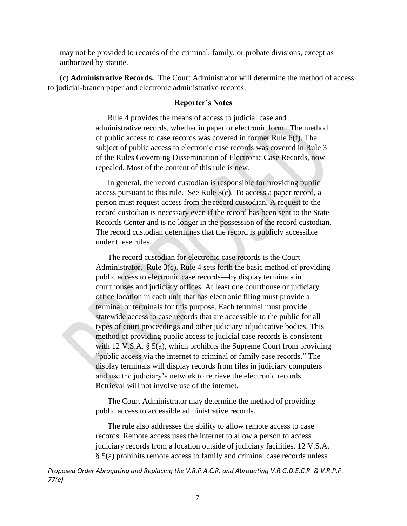may not be provided to records of the criminal, family, or probate divisions, except as authorized by statute.

(c) **Administrative Records.** The Court Administrator will determine the method of access to judicial-branch paper and electronic administrative records.

#### **Reporter's Notes**

Rule 4 provides the means of access to judicial case and administrative records, whether in paper or electronic form. The method of public access to case records was covered in former Rule 6(f). The subject of public access to electronic case records was covered in Rule 3 of the Rules Governing Dissemination of Electronic Case Records, now repealed. Most of the content of this rule is new.

In general, the record custodian is responsible for providing public access pursuant to this rule. See Rule 3(c). To access a paper record, a person must request access from the record custodian. A request to the record custodian is necessary even if the record has been sent to the State Records Center and is no longer in the possession of the record custodian. The record custodian determines that the record is publicly accessible under these rules.

The record custodian for electronic case records is the Court Administrator. Rule 3(c). Rule 4 sets forth the basic method of providing public access to electronic case records—by display terminals in courthouses and judiciary offices. At least one courthouse or judiciary office location in each unit that has electronic filing must provide a terminal or terminals for this purpose. Each terminal must provide statewide access to case records that are accessible to the public for all types of court proceedings and other judiciary adjudicative bodies. This method of providing public access to judicial case records is consistent with 12 V.S.A. § 5(a), which prohibits the Supreme Court from providing "public access via the internet to criminal or family case records." The display terminals will display records from files in judiciary computers and use the judiciary's network to retrieve the electronic records. Retrieval will not involve use of the internet.

The Court Administrator may determine the method of providing public access to accessible administrative records.

The rule also addresses the ability to allow remote access to case records. Remote access uses the internet to allow a person to access judiciary records from a location outside of judiciary facilities. 12 V.S.A. § 5(a) prohibits remote access to family and criminal case records unless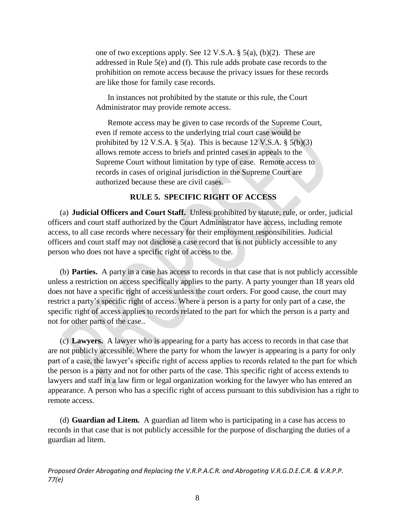one of two exceptions apply. See 12 V.S.A. § 5(a), (b)(2). These are addressed in Rule 5(e) and (f). This rule adds probate case records to the prohibition on remote access because the privacy issues for these records are like those for family case records.

In instances not prohibited by the statute or this rule, the Court Administrator may provide remote access.

Remote access may be given to case records of the Supreme Court, even if remote access to the underlying trial court case would be prohibited by 12 V.S.A.  $\S$  5(a). This is because 12 V.S.A.  $\S$  5(b)(3) allows remote access to briefs and printed cases in appeals to the Supreme Court without limitation by type of case. Remote access to records in cases of original jurisdiction in the Supreme Court are authorized because these are civil cases.

## **RULE 5. SPECIFIC RIGHT OF ACCESS**

(a) **Judicial Officers and Court Staff.** Unless prohibited by statute, rule, or order, judicial officers and court staff authorized by the Court Administrator have access, including remote access, to all case records where necessary for their employment responsibilities. Judicial officers and court staff may not disclose a case record that is not publicly accessible to any person who does not have a specific right of access to the.

(b) **Parties.** A party in a case has access to records in that case that is not publicly accessible unless a restriction on access specifically applies to the party. A party younger than 18 years old does not have a specific right of access unless the court orders. For good cause, the court may restrict a party's specific right of access. Where a person is a party for only part of a case, the specific right of access applies to records related to the part for which the person is a party and not for other parts of the case..

(c) **Lawyers.** A lawyer who is appearing for a party has access to records in that case that are not publicly accessible. Where the party for whom the lawyer is appearing is a party for only part of a case, the lawyer's specific right of access applies to records related to the part for which the person is a party and not for other parts of the case. This specific right of access extends to lawyers and staff in a law firm or legal organization working for the lawyer who has entered an appearance. A person who has a specific right of access pursuant to this subdivision has a right to remote access.

(d) **Guardian ad Litem.** A guardian ad litem who is participating in a case has access to records in that case that is not publicly accessible for the purpose of discharging the duties of a guardian ad litem.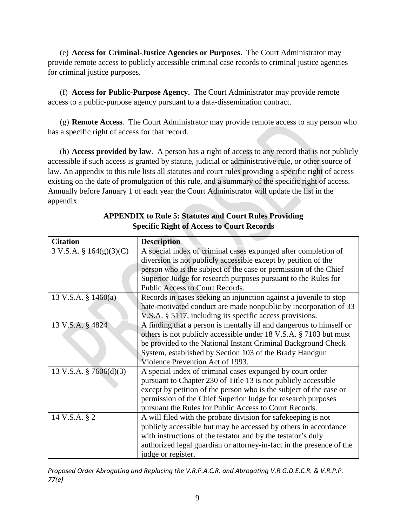(e) **Access for Criminal-Justice Agencies or Purposes**. The Court Administrator may provide remote access to publicly accessible criminal case records to criminal justice agencies for criminal justice purposes.

(f) **Access for Public-Purpose Agency.** The Court Administrator may provide remote access to a public-purpose agency pursuant to a data-dissemination contract.

(g) **Remote Access**. The Court Administrator may provide remote access to any person who has a specific right of access for that record.

(h) **Access provided by law**. A person has a right of access to any record that is not publicly accessible if such access is granted by statute, judicial or administrative rule, or other source of law. An appendix to this rule lists all statutes and court rules providing a specific right of access existing on the date of promulgation of this rule, and a summary of the specific right of access. Annually before January 1 of each year the Court Administrator will update the list in the appendix.

| <b>Citation</b>           | <b>Description</b>                                                   |
|---------------------------|----------------------------------------------------------------------|
| 3 V.S.A. § 164(g)(3)(C)   | A special index of criminal cases expunged after completion of       |
|                           | diversion is not publicly accessible except by petition of the       |
|                           | person who is the subject of the case or permission of the Chief     |
|                           | Superior Judge for research purposes pursuant to the Rules for       |
|                           | Public Access to Court Records.                                      |
| 13 V.S.A. $\S$ 1460(a)    | Records in cases seeking an injunction against a juvenile to stop    |
|                           | hate-motivated conduct are made nonpublic by incorporation of 33     |
|                           | V.S.A. § 5117, including its specific access provisions.             |
| 13 V.S.A. § 4824          | A finding that a person is mentally ill and dangerous to himself or  |
|                           | others is not publicly accessible under 18 V.S.A. § 7103 but must    |
|                           | be provided to the National Instant Criminal Background Check        |
|                           | System, established by Section 103 of the Brady Handgun              |
|                           | Violence Prevention Act of 1993.                                     |
| 13 V.S.A. $\S$ 7606(d)(3) | A special index of criminal cases expunged by court order            |
|                           | pursuant to Chapter 230 of Title 13 is not publicly accessible       |
|                           | except by petition of the person who is the subject of the case or   |
|                           | permission of the Chief Superior Judge for research purposes         |
|                           | pursuant the Rules for Public Access to Court Records.               |
| 14 V.S.A. § 2             | A will filed with the probate division for safekeeping is not        |
|                           | publicly accessible but may be accessed by others in accordance      |
|                           | with instructions of the testator and by the testator's duly         |
|                           | authorized legal guardian or attorney-in-fact in the presence of the |
|                           | judge or register.                                                   |

**APPENDIX to Rule 5: Statutes and Court Rules Providing Specific Right of Access to Court Records**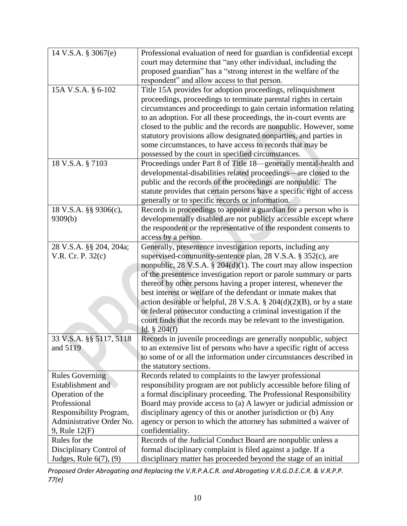| 14 V.S.A. § 3067(e)         | Professional evaluation of need for guardian is confidential except     |
|-----------------------------|-------------------------------------------------------------------------|
|                             | court may determine that "any other individual, including the           |
|                             | proposed guardian" has a "strong interest in the welfare of the         |
|                             |                                                                         |
|                             | respondent" and allow access to that person.                            |
| 15A V.S.A. § 6-102          | Title 15A provides for adoption proceedings, relinquishment             |
|                             | proceedings, proceedings to terminate parental rights in certain        |
|                             | circumstances and proceedings to gain certain information relating      |
|                             | to an adoption. For all these proceedings, the in-court events are      |
|                             | closed to the public and the records are nonpublic. However, some       |
|                             | statutory provisions allow designated nonparties, and parties in        |
|                             | some circumstances, to have access to records that may be               |
|                             | possessed by the court in specified circumstances.                      |
| 18 V.S.A. § 7103            | Proceedings under Part 8 of Title 18—generally mental-health and        |
|                             | developmental-disabilities related proceedings—are closed to the        |
|                             | public and the records of the proceedings are nonpublic. The            |
|                             | statute provides that certain persons have a specific right of access   |
|                             | generally or to specific records or information.                        |
| 18 V.S.A. §§ 9306(c),       | Records in proceedings to appoint a guardian for a person who is        |
| 9309(b)                     | developmentally disabled are not publicly accessible except where       |
|                             | the respondent or the representative of the respondent consents to      |
|                             |                                                                         |
|                             | access by a person.                                                     |
| 28 V.S.A. §§ 204, 204a;     | Generally, presentence investigation reports, including any             |
| V.R. Cr. P. 32(c)           | supervised-community-sentence plan, 28 V.S.A. § 352(c), are             |
|                             | nonpublic, 28 V.S.A. $\S$ 204(d)(1). The court may allow inspection     |
|                             | of the presentence investigation report or parole summary or parts      |
|                             | thereof by other persons having a proper interest, whenever the         |
|                             | best interest or welfare of the defendant or inmate makes that          |
|                             | action desirable or helpful, 28 V.S.A. $\S$ 204(d)(2)(B), or by a state |
|                             | or federal prosecutor conducting a criminal investigation if the        |
|                             | court finds that the records may be relevant to the investigation.      |
|                             | Id. $§ 204(f)$                                                          |
| 33 V.S.A. §§ 5117, 5118     | Records in juvenile proceedings are generally nonpublic, subject        |
| and 5119                    | to an extensive list of persons who have a specific right of access     |
|                             | to some of or all the information under circumstances described in      |
|                             | the statutory sections.                                                 |
| <b>Rules Governing</b>      | Records related to complaints to the lawyer professional                |
| Establishment and           | responsibility program are not publicly accessible before filing of     |
| Operation of the            | a formal disciplinary proceeding. The Professional Responsibility       |
| Professional                | Board may provide access to (a) A lawyer or judicial admission or       |
| Responsibility Program,     | disciplinary agency of this or another jurisdiction or (b) Any          |
| Administrative Order No.    | agency or person to which the attorney has submitted a waiver of        |
| 9, Rule 12(F)               | confidentiality.                                                        |
| Rules for the               | Records of the Judicial Conduct Board are nonpublic unless a            |
| Disciplinary Control of     | formal disciplinary complaint is filed against a judge. If a            |
| Judges, Rule $6(7)$ , $(9)$ | disciplinary matter has proceeded beyond the stage of an initial        |
|                             |                                                                         |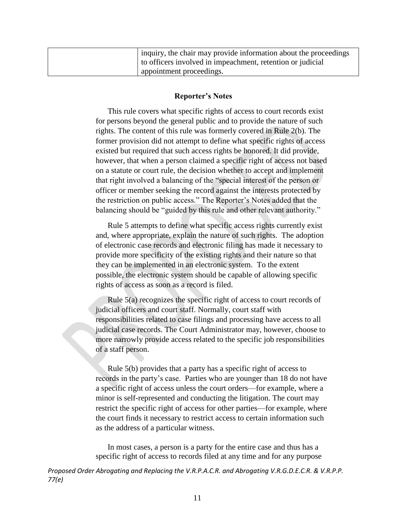| inquiry, the chair may provide information about the proceedings |
|------------------------------------------------------------------|
| to officers involved in impeachment, retention or judicial       |
| appointment proceedings.                                         |

#### **Reporter's Notes**

This rule covers what specific rights of access to court records exist for persons beyond the general public and to provide the nature of such rights. The content of this rule was formerly covered in Rule 2(b). The former provision did not attempt to define what specific rights of access existed but required that such access rights be honored. It did provide, however, that when a person claimed a specific right of access not based on a statute or court rule, the decision whether to accept and implement that right involved a balancing of the "special interest of the person or officer or member seeking the record against the interests protected by the restriction on public access." The Reporter's Notes added that the balancing should be "guided by this rule and other relevant authority."

Rule 5 attempts to define what specific access rights currently exist and, where appropriate, explain the nature of such rights. The adoption of electronic case records and electronic filing has made it necessary to provide more specificity of the existing rights and their nature so that they can be implemented in an electronic system. To the extent possible, the electronic system should be capable of allowing specific rights of access as soon as a record is filed.

Rule 5(a) recognizes the specific right of access to court records of judicial officers and court staff. Normally, court staff with responsibilities related to case filings and processing have access to all judicial case records. The Court Administrator may, however, choose to more narrowly provide access related to the specific job responsibilities of a staff person.

Rule 5(b) provides that a party has a specific right of access to records in the party's case. Parties who are younger than 18 do not have a specific right of access unless the court orders—for example, where a minor is self-represented and conducting the litigation. The court may restrict the specific right of access for other parties—for example, where the court finds it necessary to restrict access to certain information such as the address of a particular witness.

In most cases, a person is a party for the entire case and thus has a specific right of access to records filed at any time and for any purpose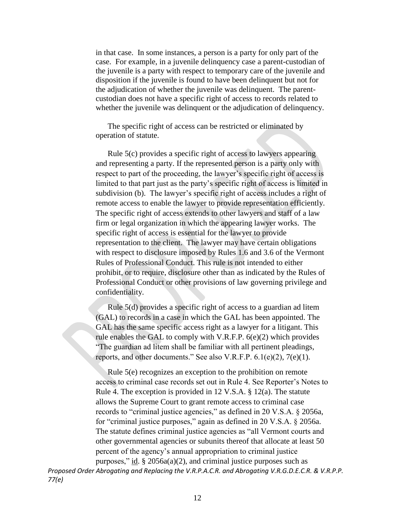in that case. In some instances, a person is a party for only part of the case. For example, in a juvenile delinquency case a parent-custodian of the juvenile is a party with respect to temporary care of the juvenile and disposition if the juvenile is found to have been delinquent but not for the adjudication of whether the juvenile was delinquent. The parentcustodian does not have a specific right of access to records related to whether the juvenile was delinquent or the adjudication of delinquency.

The specific right of access can be restricted or eliminated by operation of statute.

Rule 5(c) provides a specific right of access to lawyers appearing and representing a party. If the represented person is a party only with respect to part of the proceeding, the lawyer's specific right of access is limited to that part just as the party's specific right of access is limited in subdivision (b). The lawyer's specific right of access includes a right of remote access to enable the lawyer to provide representation efficiently. The specific right of access extends to other lawyers and staff of a law firm or legal organization in which the appearing lawyer works. The specific right of access is essential for the lawyer to provide representation to the client. The lawyer may have certain obligations with respect to disclosure imposed by Rules 1.6 and 3.6 of the Vermont Rules of Professional Conduct. This rule is not intended to either prohibit, or to require, disclosure other than as indicated by the Rules of Professional Conduct or other provisions of law governing privilege and confidentiality.

Rule 5(d) provides a specific right of access to a guardian ad litem (GAL) to records in a case in which the GAL has been appointed. The GAL has the same specific access right as a lawyer for a litigant. This rule enables the GAL to comply with V.R.F.P. 6(e)(2) which provides "The guardian ad litem shall be familiar with all pertinent pleadings, reports, and other documents." See also V.R.F.P. 6.1(e)(2), 7(e)(1).

Rule 5(e) recognizes an exception to the prohibition on remote access to criminal case records set out in Rule 4. See Reporter's Notes to Rule 4. The exception is provided in 12 V.S.A. § 12(a). The statute allows the Supreme Court to grant remote access to criminal case records to "criminal justice agencies," as defined in 20 V.S.A. § 2056a, for "criminal justice purposes," again as defined in 20 V.S.A. § 2056a. The statute defines criminal justice agencies as "all Vermont courts and other governmental agencies or subunits thereof that allocate at least 50 percent of the agency's annual appropriation to criminal justice purposes," id.  $\S 2056a(a)(2)$ , and criminal justice purposes such as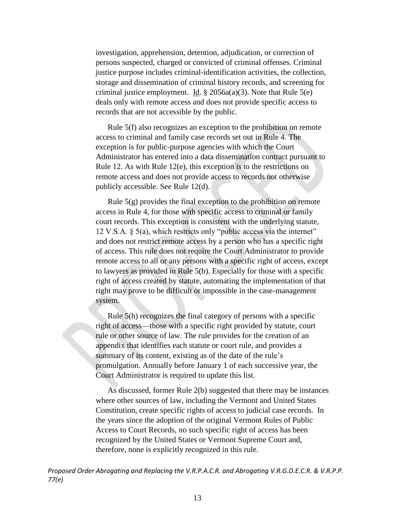investigation, apprehension, detention, adjudication, or correction of persons suspected, charged or convicted of criminal offenses. Criminal justice purpose includes criminal-identification activities, the collection, storage and dissemination of criminal history records, and screening for criminal justice employment. Id.  $\S$  2056a(a)(3). Note that Rule 5(e) deals only with remote access and does not provide specific access to records that are not accessible by the public.

Rule 5(f) also recognizes an exception to the prohibition on remote access to criminal and family case records set out in Rule 4. The exception is for public-purpose agencies with which the Court Administrator has entered into a data dissemination contract pursuant to Rule 12. As with Rule 12(e), this exception is to the restrictions on remote access and does not provide access to records not otherwise publicly accessible. See Rule 12(d).

Rule  $5(g)$  provides the final exception to the prohibition on remote access in Rule 4, for those with specific access to criminal or family court records. This exception is consistent with the underlying statute, 12 V.S.A. § 5(a), which restricts only "public access via the internet" and does not restrict remote access by a person who has a specific right of access. This rule does not require the Court Administrator to provide remote access to all or any persons with a specific right of access, except to lawyers as provided in Rule 5(b). Especially for those with a specific right of access created by statute, automating the implementation of that right may prove to be difficult or impossible in the case-management system.

Rule 5(h) recognizes the final category of persons with a specific right of access—those with a specific right provided by statute, court rule or other source of law. The rule provides for the creation of an appendix that identifies each statute or court rule, and provides a summary of its content, existing as of the date of the rule's promulgation. Annually before January 1 of each successive year, the Court Administrator is required to update this list.

As discussed, former Rule 2(b) suggested that there may be instances where other sources of law, including the Vermont and United States Constitution, create specific rights of access to judicial case records. In the years since the adoption of the original Vermont Rules of Public Access to Court Records, no such specific right of access has been recognized by the United States or Vermont Supreme Court and, therefore, none is explicitly recognized in this rule.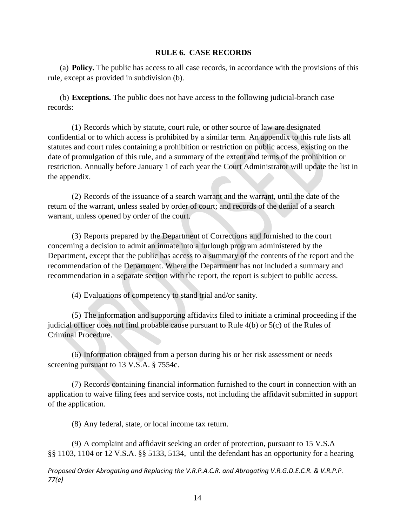### **RULE 6. CASE RECORDS**

(a) **Policy.** The public has access to all case records, in accordance with the provisions of this rule, except as provided in subdivision (b).

(b) **Exceptions.** The public does not have access to the following judicial-branch case records:

(1) Records which by statute, court rule, or other source of law are designated confidential or to which access is prohibited by a similar term. An appendix to this rule lists all statutes and court rules containing a prohibition or restriction on public access, existing on the date of promulgation of this rule, and a summary of the extent and terms of the prohibition or restriction. Annually before January 1 of each year the Court Administrator will update the list in the appendix.

(2) Records of the issuance of a search warrant and the warrant, until the date of the return of the warrant, unless sealed by order of court; and records of the denial of a search warrant, unless opened by order of the court.

(3) Reports prepared by the Department of Corrections and furnished to the court concerning a decision to admit an inmate into a furlough program administered by the Department, except that the public has access to a summary of the contents of the report and the recommendation of the Department. Where the Department has not included a summary and recommendation in a separate section with the report, the report is subject to public access.

(4) Evaluations of competency to stand trial and/or sanity.

(5) The information and supporting affidavits filed to initiate a criminal proceeding if the judicial officer does not find probable cause pursuant to Rule 4(b) or 5(c) of the Rules of Criminal Procedure.

(6) Information obtained from a person during his or her risk assessment or needs screening pursuant to [13 V.S.A. § 7554c.](https://1.next.westlaw.com/Link/Document/FullText?findType=L&pubNum=1000883&cite=VTST13S7554C&originatingDoc=N68770F70C15F11DD9B80BC94C52D0124&refType=LQ&originationContext=document&transitionType=DocumentItem&contextData=(sc.Category))

(7) Records containing financial information furnished to the court in connection with an application to waive filing fees and service costs, not including the affidavit submitted in support of the application.

(8) Any federal, state, or local income tax return.

(9) A complaint and affidavit seeking an order of protection, pursuant to 15 V.S.A §§ 1103, 1104 or 12 V.S.A. §§ 5133, 5134, until the defendant has an opportunity for a hearing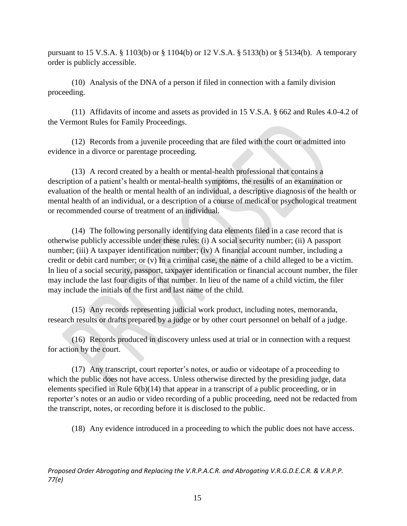pursuant to 15 V.S.A. § 1103(b) or § 1104(b) or 12 V.S.A. § 5133(b) or § 5134(b). A temporary order is publicly accessible.

(10) Analysis of the DNA of a person if filed in connection with a family division proceeding.

(11) Affidavits of income and assets as provided in 15 V.S.A. § 662 and Rules 4.0-4.2 of the Vermont Rules for Family Proceedings.

(12) Records from a juvenile proceeding that are filed with the court or admitted into evidence in a divorce or parentage proceeding.

(13) A record created by a health or mental-health professional that contains a description of a patient's health or mental-health symptoms, the results of an examination or evaluation of the health or mental health of an individual, a descriptive diagnosis of the health or mental health of an individual, or a description of a course of medical or psychological treatment or recommended course of treatment of an individual.

(14) The following personally identifying data elements filed in a case record that is otherwise publicly accessible under these rules: (i) A social security number; (ii) A passport number; (iii) A taxpayer identification number; (iv) A financial account number, including a credit or debit card number; or (v) In a criminal case, the name of a child alleged to be a victim. In lieu of a social security, passport, taxpayer identification or financial account number, the filer may include the last four digits of that number. In lieu of the name of a child victim, the filer may include the initials of the first and last name of the child.

(15) Any records representing judicial work product, including notes, memoranda, research results or drafts prepared by a judge or by other court personnel on behalf of a judge.

(16) Records produced in discovery unless used at trial or in connection with a request for action by the court.

(17) Any transcript, court reporter's notes, or audio or videotape of a proceeding to which the public does not have access. Unless otherwise directed by the presiding judge, data elements specified in Rule 6(b)(14) that appear in a transcript of a public proceeding, or in reporter's notes or an audio or video recording of a public proceeding, need not be redacted from the transcript, notes, or recording before it is disclosed to the public.

(18) Any evidence introduced in a proceeding to which the public does not have access.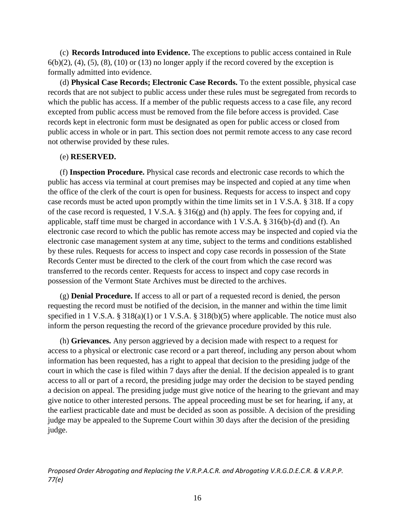(c) **Records Introduced into Evidence.** The exceptions to public access contained in Rule  $6(b)(2)$ , (4), (5), (8), (10) or (13) no longer apply if the record covered by the exception is formally admitted into evidence.

(d) **Physical Case Records; Electronic Case Records.** To the extent possible, physical case records that are not subject to public access under these rules must be segregated from records to which the public has access. If a member of the public requests access to a case file, any record excepted from public access must be removed from the file before access is provided. Case records kept in electronic form must be designated as open for public access or closed from public access in whole or in part. This section does not permit remote access to any case record not otherwise provided by these rules.

## (e) **RESERVED.**

(f) **Inspection Procedure.** Physical case records and electronic case records to which the public has access via terminal at court premises may be inspected and copied at any time when the office of the clerk of the court is open for business. Requests for access to inspect and copy case records must be acted upon promptly within the time limits set in 1 V.S.A. § 318. If a copy of the case record is requested, 1 V.S.A. § 316(g) and (h) apply. The fees for copying and, if applicable, staff time must be charged in accordance with 1 V.S.A. § 316(b)-(d) and (f). An electronic case record to which the public has remote access may be inspected and copied via the electronic case management system at any time, subject to the terms and conditions established by these rules. Requests for access to inspect and copy case records in possession of the State Records Center must be directed to the clerk of the court from which the case record was transferred to the records center. Requests for access to inspect and copy case records in possession of the Vermont State Archives must be directed to the archives.

(g) **Denial Procedure.** If access to all or part of a requested record is denied, the person requesting the record must be notified of the decision, in the manner and within the time limit specified in 1 V.S.A. § 318(a)(1) or 1 V.S.A. § 318(b)(5) where applicable. The notice must also inform the person requesting the record of the grievance procedure provided by this rule.

(h) **Grievances.** Any person aggrieved by a decision made with respect to a request for access to a physical or electronic case record or a part thereof, including any person about whom information has been requested, has a right to appeal that decision to the presiding judge of the court in which the case is filed within 7 days after the denial. If the decision appealed is to grant access to all or part of a record, the presiding judge may order the decision to be stayed pending a decision on appeal. The presiding judge must give notice of the hearing to the grievant and may give notice to other interested persons. The appeal proceeding must be set for hearing, if any, at the earliest practicable date and must be decided as soon as possible. A decision of the presiding judge may be appealed to the Supreme Court within 30 days after the decision of the presiding judge.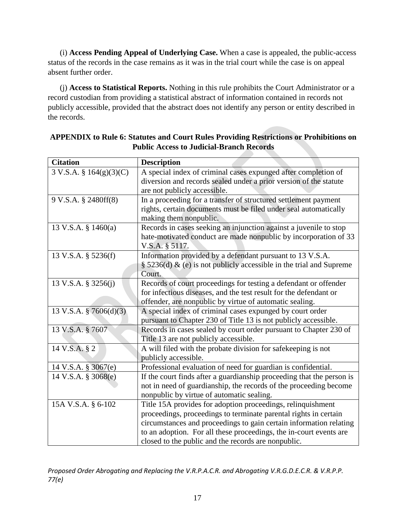(i) **Access Pending Appeal of Underlying Case.** When a case is appealed, the public-access status of the records in the case remains as it was in the trial court while the case is on appeal absent further order.

(j) **Access to Statistical Reports.** Nothing in this rule prohibits the Court Administrator or a record custodian from providing a statistical abstract of information contained in records not publicly accessible, provided that the abstract does not identify any person or entity described in the records.

| <b>Citation</b>         | <b>Description</b>                                                    |
|-------------------------|-----------------------------------------------------------------------|
| 3 V.S.A. § 164(g)(3)(C) | A special index of criminal cases expunged after completion of        |
|                         | diversion and records sealed under a prior version of the statute     |
|                         | are not publicly accessible.                                          |
| 9 V.S.A. § 2480ff(8)    | In a proceeding for a transfer of structured settlement payment       |
|                         | rights, certain documents must be filed under seal automatically      |
|                         | making them nonpublic.                                                |
| 13 V.S.A. § 1460(a)     | Records in cases seeking an injunction against a juvenile to stop     |
|                         | hate-motivated conduct are made nonpublic by incorporation of 33      |
|                         | V.S.A. § 5117.                                                        |
| 13 V.S.A. § 5236(f)     | Information provided by a defendant pursuant to 13 V.S.A.             |
|                         | § 5236(d) & (e) is not publicly accessible in the trial and Supreme   |
|                         | Court.                                                                |
| 13 V.S.A. § 3256(j)     | Records of court proceedings for testing a defendant or offender      |
|                         | for infectious diseases, and the test result for the defendant or     |
|                         | offender, are nonpublic by virtue of automatic sealing.               |
| 13 V.S.A. § 7606(d)(3)  | A special index of criminal cases expunged by court order             |
|                         | pursuant to Chapter 230 of Title 13 is not publicly accessible.       |
| 13 V.S.A. § 7607        | Records in cases sealed by court order pursuant to Chapter 230 of     |
|                         | Title 13 are not publicly accessible.                                 |
| 14 V.S.A. § 2           | A will filed with the probate division for safekeeping is not         |
|                         | publicly accessible.                                                  |
| 14 V.S.A. § 3067(e)     | Professional evaluation of need for guardian is confidential.         |
| 14 V.S.A. § 3068(e)     | If the court finds after a guardianship proceeding that the person is |
|                         | not in need of guardianship, the records of the proceeding become     |
|                         | nonpublic by virtue of automatic sealing.                             |
| 15A V.S.A. § 6-102      | Title 15A provides for adoption proceedings, relinquishment           |
|                         | proceedings, proceedings to terminate parental rights in certain      |
|                         | circumstances and proceedings to gain certain information relating    |
|                         | to an adoption. For all these proceedings, the in-court events are    |
|                         | closed to the public and the records are nonpublic.                   |

# **APPENDIX to Rule 6: Statutes and Court Rules Providing Restrictions or Prohibitions on Public Access to Judicial-Branch Records**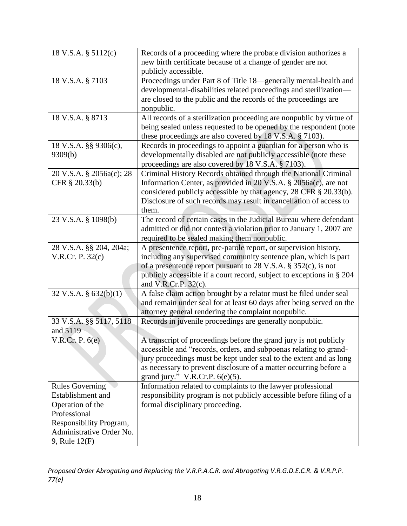| 18 V.S.A. § 5112(c)      | Records of a proceeding where the probate division authorizes a       |
|--------------------------|-----------------------------------------------------------------------|
|                          | new birth certificate because of a change of gender are not           |
|                          | publicly accessible.                                                  |
| 18 V.S.A. § 7103         | Proceedings under Part 8 of Title 18-generally mental-health and      |
|                          | developmental-disabilities related proceedings and sterilization-     |
|                          | are closed to the public and the records of the proceedings are       |
|                          | nonpublic.                                                            |
| 18 V.S.A. § 8713         | All records of a sterilization proceeding are nonpublic by virtue of  |
|                          | being sealed unless requested to be opened by the respondent (note    |
|                          | these proceedings are also covered by 18 V.S.A. § 7103).              |
| 18 V.S.A. §§ 9306(c),    | Records in proceedings to appoint a guardian for a person who is      |
| 9309(b)                  | developmentally disabled are not publicly accessible (note these      |
|                          | proceedings are also covered by 18 V.S.A. § 7103).                    |
| 20 V.S.A. § 2056a(c); 28 | Criminal History Records obtained through the National Criminal       |
| CFR § 20.33(b)           | Information Center, as provided in 20 V.S.A. § 2056a(c), are not      |
|                          | considered publicly accessible by that agency, 28 CFR § 20.33(b).     |
|                          | Disclosure of such records may result in cancellation of access to    |
|                          | them.                                                                 |
| 23 V.S.A. § 1098(b)      | The record of certain cases in the Judicial Bureau where defendant    |
|                          | admitted or did not contest a violation prior to January 1, 2007 are  |
|                          | required to be sealed making them nonpublic.                          |
| 28 V.S.A. §§ 204, 204a;  | A presentence report, pre-parole report, or supervision history,      |
| V.R.Cr. P. 32(c)         | including any supervised community sentence plan, which is part       |
|                          | of a presentence report pursuant to 28 V.S.A. $\S$ 352(c), is not     |
|                          | publicly accessible if a court record, subject to exceptions in § 204 |
|                          | and V.R.Cr.P. $32(c)$ .                                               |
| 32 V.S.A. $\S$ 632(b)(1) | A false claim action brought by a relator must be filed under seal    |
|                          | and remain under seal for at least 60 days after being served on the  |
|                          | attorney general rendering the complaint nonpublic.                   |
| 33 V.S.A. §§ 5117, 5118  | Records in juvenile proceedings are generally nonpublic.              |
| and 5119                 |                                                                       |
| V.R.Cr. P. $6(e)$        | A transcript of proceedings before the grand jury is not publicly     |
|                          | accessible and "records, orders, and subpoenas relating to grand-     |
|                          | jury proceedings must be kept under seal to the extent and as long    |
|                          | as necessary to prevent disclosure of a matter occurring before a     |
|                          | grand jury." V.R.Cr.P. $6(e)(5)$ .                                    |
| <b>Rules Governing</b>   | Information related to complaints to the lawyer professional          |
| Establishment and        | responsibility program is not publicly accessible before filing of a  |
| Operation of the         | formal disciplinary proceeding.                                       |
| Professional             |                                                                       |
| Responsibility Program,  |                                                                       |
| Administrative Order No. |                                                                       |
| 9, Rule 12(F)            |                                                                       |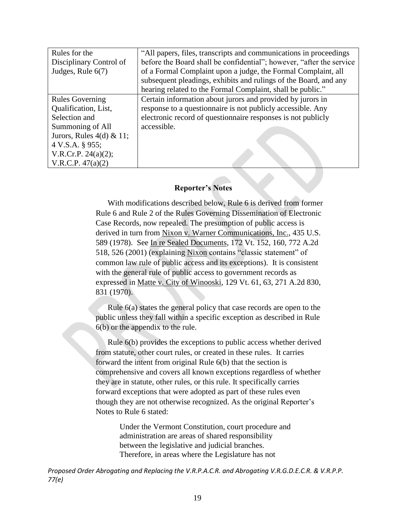| Rules for the                | "All papers, files, transcripts and communications in proceedings     |
|------------------------------|-----------------------------------------------------------------------|
| Disciplinary Control of      | before the Board shall be confidential"; however, "after the service" |
| Judges, Rule 6(7)            | of a Formal Complaint upon a judge, the Formal Complaint, all         |
|                              | subsequent pleadings, exhibits and rulings of the Board, and any      |
|                              | hearing related to the Formal Complaint, shall be public."            |
| <b>Rules Governing</b>       | Certain information about jurors and provided by jurors in            |
| Qualification, List,         | response to a questionnaire is not publicly accessible. Any           |
| Selection and                | electronic record of questionnaire responses is not publicly          |
| Summoning of All             | accessible.                                                           |
| Jurors, Rules $4(d) \& 11$ ; |                                                                       |
| 4 V.S.A. § 955;              |                                                                       |
| V.R.Cr.P. $24(a)(2)$ ;       |                                                                       |
| V.R.C.P. $47(a)(2)$          |                                                                       |

#### **Reporter's Notes**

With modifications described below, Rule 6 is derived from former Rule 6 and Rule 2 of the Rules Governing Dissemination of Electronic Case Records, now repealed. The presumption of public access is derived in turn from Nixon v. Warner Communications, Inc., 435 U.S. 589 (1978). See In re Sealed Documents, 172 Vt. 152, 160, 772 A.2d 518, 526 (2001) (explaining Nixon contains "classic statement" of common law rule of public access and its exceptions). It is consistent with the general rule of public access to government records as expressed in Matte v. City of Winooski, 129 Vt. 61, 63, 271 A.2d 830, 831 (1970).

Rule 6(a) states the general policy that case records are open to the public unless they fall within a specific exception as described in Rule 6(b) or the appendix to the rule.

Rule 6(b) provides the exceptions to public access whether derived from statute, other court rules, or created in these rules. It carries forward the intent from original Rule 6(b) that the section is comprehensive and covers all known exceptions regardless of whether they are in statute, other rules, or this rule. It specifically carries forward exceptions that were adopted as part of these rules even though they are not otherwise recognized. As the original Reporter's Notes to Rule 6 stated:

> Under the Vermont Constitution, court procedure and administration are areas of shared responsibility between the legislative and judicial branches. Therefore, in areas where the Legislature has not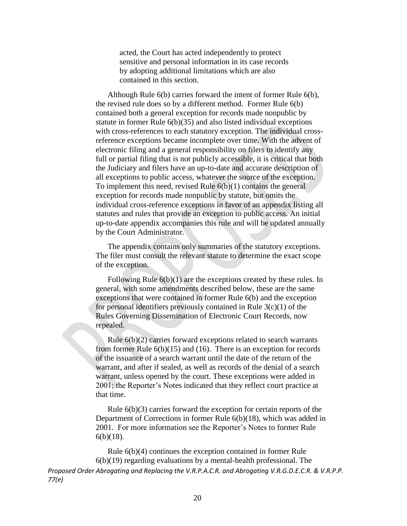acted, the Court has acted independently to protect sensitive and personal information in its case records by adopting additional limitations which are also contained in this section.

Although Rule 6(b) carries forward the intent of former Rule 6(b), the revised rule does so by a different method. Former Rule 6(b) contained both a general exception for records made nonpublic by statute in former Rule 6(b)(35) and also listed individual exceptions with cross-references to each statutory exception. The individual crossreference exceptions became incomplete over time. With the advent of electronic filing and a general responsibility on filers to identify any full or partial filing that is not publicly accessible, it is critical that both the Judiciary and filers have an up-to-date and accurate description of all exceptions to public access, whatever the source of the exception. To implement this need, revised Rule  $6(b)(1)$  contains the general exception for records made nonpublic by statute, but omits the individual cross-reference exceptions in favor of an appendix listing all statutes and rules that provide an exception to public access. An initial up-to-date appendix accompanies this rule and will be updated annually by the Court Administrator.

The appendix contains only summaries of the statutory exceptions. The filer must consult the relevant statute to determine the exact scope of the exception.

Following Rule  $6(b)(1)$  are the exceptions created by these rules. In general, with some amendments described below, these are the same exceptions that were contained in former Rule 6(b) and the exception for personal identifiers previously contained in Rule  $3(c)(1)$  of the Rules Governing Dissemination of Electronic Court Records, now repealed.

Rule 6(b)(2) carries forward exceptions related to search warrants from former Rule 6(b)(15) and (16). There is an exception for records of the issuance of a search warrant until the date of the return of the warrant, and after if sealed, as well as records of the denial of a search warrant, unless opened by the court. These exceptions were added in 2001; the Reporter's Notes indicated that they reflect court practice at that time.

Rule 6(b)(3) carries forward the exception for certain reports of the Department of Corrections in former Rule 6(b)(18), which was added in 2001. For more information see the Reporter's Notes to former Rule 6(b)(18).

*Proposed Order Abrogating and Replacing the V.R.P.A.C.R. and Abrogating V.R.G.D.E.C.R. & V.R.P.P. 77(e)* Rule 6(b)(4) continues the exception contained in former Rule 6(b)(19) regarding evaluations by a mental-health professional. The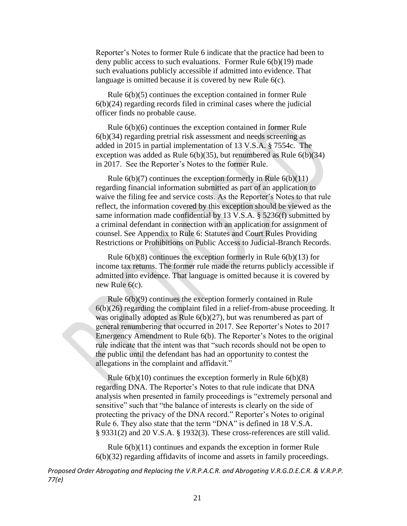Reporter's Notes to former Rule 6 indicate that the practice had been to deny public access to such evaluations. Former Rule 6(b)(19) made such evaluations publicly accessible if admitted into evidence. That language is omitted because it is covered by new Rule 6(c).

Rule 6(b)(5) continues the exception contained in former Rule 6(b)(24) regarding records filed in criminal cases where the judicial officer finds no probable cause.

Rule 6(b)(6) continues the exception contained in former Rule 6(b)(34) regarding pretrial risk assessment and needs screening as added in 2015 in partial implementation of 13 V.S.A. § 7554c. The exception was added as Rule  $6(b)(35)$ , but renumbered as Rule  $6(b)(34)$ in 2017. See the Reporter's Notes to the former Rule.

Rule  $6(b)(7)$  continues the exception formerly in Rule  $6(b)(11)$ regarding financial information submitted as part of an application to waive the filing fee and service costs. As the Reporter's Notes to that rule reflect, the information covered by this exception should be viewed as the same information made confidential by 13 V.S.A. § 5236(f) submitted by a criminal defendant in connection with an application for assignment of counsel. See Appendix to Rule 6: Statutes and Court Rules Providing Restrictions or Prohibitions on Public Access to Judicial-Branch Records.

Rule  $6(b)(8)$  continues the exception formerly in Rule  $6(b)(13)$  for income tax returns. The former rule made the returns publicly accessible if admitted into evidence. That language is omitted because it is covered by new Rule 6(c).

Rule 6(b)(9) continues the exception formerly contained in Rule  $6(b)(26)$  regarding the complaint filed in a relief-from-abuse proceeding. It was originally adopted as Rule 6(b)(27), but was renumbered as part of general renumbering that occurred in 2017. See Reporter's Notes to 2017 Emergency Amendment to Rule 6(b). The Reporter's Notes to the original rule indicate that the intent was that "such records should not be open to the public until the defendant has had an opportunity to contest the allegations in the complaint and affidavit."

Rule  $6(b)(10)$  continues the exception formerly in Rule  $6(b)(8)$ regarding DNA. The Reporter's Notes to that rule indicate that DNA analysis when presented in family proceedings is "extremely personal and sensitive" such that "the balance of interests is clearly on the side of protecting the privacy of the DNA record." Reporter's Notes to original Rule 6. They also state that the term "DNA" is defined in 18 V.S.A. § 9331(2) and 20 V.S.A. § 1932(3). These cross-references are still valid.

Rule 6(b)(11) continues and expands the exception in former Rule 6(b)(32) regarding affidavits of income and assets in family proceedings.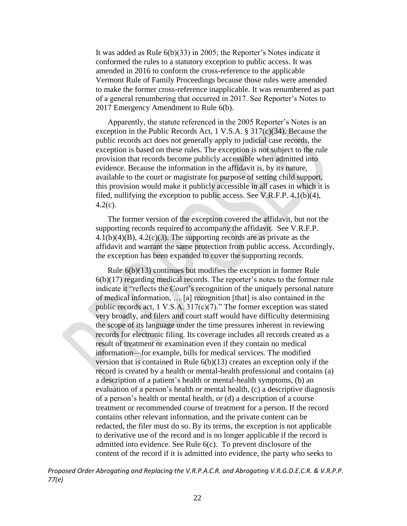It was added as Rule 6(b)(33) in 2005; the Reporter's Notes indicate it conformed the rules to a statutory exception to public access. It was amended in 2016 to conform the cross-reference to the applicable Vermont Rule of Family Proceedings because those rules were amended to make the former cross-reference inapplicable. It was renumbered as part of a general renumbering that occurred in 2017. See Reporter's Notes to 2017 Emergency Amendment to Rule 6(b).

Apparently, the statute referenced in the 2005 Reporter's Notes is an exception in the Public Records Act, 1 V.S.A. § 317(c)(34). Because the public records act does not generally apply to judicial case records, the exception is based on these rules. The exception is not subject to the rule provision that records become publicly accessible when admitted into evidence. Because the information in the affidavit is, by its nature, available to the court or magistrate for purpose of setting child support, this provision would make it publicly accessible in all cases in which it is filed, nullifying the exception to public access. See V.R.F.P. 4.1(b)(4), 4.2(c).

The former version of the exception covered the affidavit, but not the supporting records required to accompany the affidavit. See V.R.F.P.  $4.1(b)(4)(B)$ ,  $4.2(c)(3)$ . The supporting records are as private as the affidavit and warrant the same protection from public access. Accordingly, the exception has been expanded to cover the supporting records.

Rule 6(b)(13) continues but modifies the exception in former Rule 6(b)(17) regarding medical records. The reporter's notes to the former rule indicate it "reflects the Court's recognition of the uniquely personal nature of medical information, … [a] recognition [that] is also contained in the public records act, 1 V.S.A. 317(c)(7)." The former exception was stated very broadly, and filers and court staff would have difficulty determining the scope of its language under the time pressures inherent in reviewing records for electronic filing. Its coverage includes all records created as a result of treatment or examination even if they contain no medical information—for example, bills for medical services. The modified version that is contained in Rule 6(b)(13) creates an exception only if the record is created by a health or mental-health professional and contains (a) a description of a patient's health or mental-health symptoms, (b) an evaluation of a person's health or mental health, (c) a descriptive diagnosis of a person's health or mental health, or (d) a description of a course treatment or recommended course of treatment for a person. If the record contains other relevant information, and the private content can be redacted, the filer must do so. By its terms, the exception is not applicable to derivative use of the record and is no longer applicable if the record is admitted into evidence. See Rule 6(c). To prevent disclosure of the content of the record if it is admitted into evidence, the party who seeks to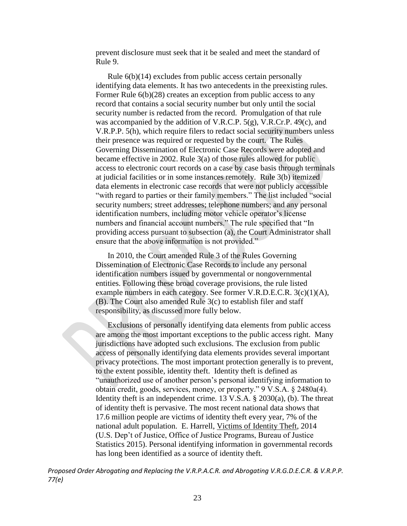prevent disclosure must seek that it be sealed and meet the standard of Rule 9.

Rule 6(b)(14) excludes from public access certain personally identifying data elements. It has two antecedents in the preexisting rules. Former Rule  $6(b)(28)$  creates an exception from public access to any record that contains a social security number but only until the social security number is redacted from the record. Promulgation of that rule was accompanied by the addition of V.R.C.P. 5(g), V.R.Cr.P. 49(c), and V.R.P.P. 5(h), which require filers to redact social security numbers unless their presence was required or requested by the court. The Rules Governing Dissemination of Electronic Case Records were adopted and became effective in 2002. Rule 3(a) of those rules allowed for public access to electronic court records on a case by case basis through terminals at judicial facilities or in some instances remotely. Rule 3(b) itemized data elements in electronic case records that were not publicly accessible "with regard to parties or their family members." The list included "social security numbers; street addresses; telephone numbers; and any personal identification numbers, including motor vehicle operator's license numbers and financial account numbers." The rule specified that "In providing access pursuant to subsection (a), the Court Administrator shall ensure that the above information is not provided."

In 2010, the Court amended Rule 3 of the Rules Governing Dissemination of Electronic Case Records to include any personal identification numbers issued by governmental or nongovernmental entities. Following these broad coverage provisions, the rule listed example numbers in each category. See former V.R.D.E.C.R. 3(c)(1)(A), (B). The Court also amended Rule 3(c) to establish filer and staff responsibility, as discussed more fully below.

Exclusions of personally identifying data elements from public access are among the most important exceptions to the public access right. Many jurisdictions have adopted such exclusions. The exclusion from public access of personally identifying data elements provides several important privacy protections. The most important protection generally is to prevent, to the extent possible, identity theft. Identity theft is defined as "unauthorized use of another person's personal identifying information to obtain credit, goods, services, money, or property." 9 V.S.A. § 2480a(4). Identity theft is an independent crime. 13 V.S.A. § 2030(a), (b). The threat of identity theft is pervasive. The most recent national data shows that 17.6 million people are victims of identity theft every year, 7% of the national adult population. E. Harrell, Victims of Identity Theft, 2014 (U.S. Dep't of Justice, Office of Justice Programs, Bureau of Justice Statistics 2015). Personal identifying information in governmental records has long been identified as a source of identity theft.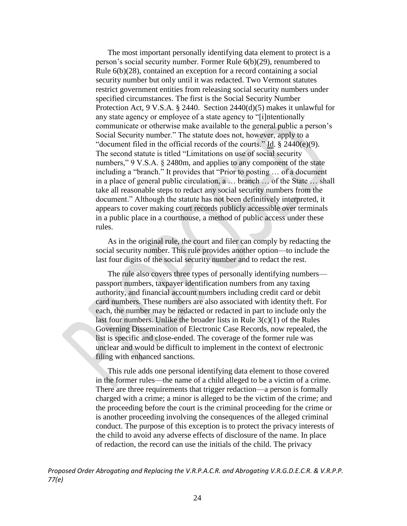The most important personally identifying data element to protect is a person's social security number. Former Rule 6(b)(29), renumbered to Rule 6(b)(28), contained an exception for a record containing a social security number but only until it was redacted. Two Vermont statutes restrict government entities from releasing social security numbers under specified circumstances. The first is the Social Security Number Protection Act, 9 V.S.A. § 2440. Section 2440(d)(5) makes it unlawful for any state agency or employee of a state agency to "[i]ntentionally communicate or otherwise make available to the general public a person's Social Security number." The statute does not, however, apply to a "document filed in the official records of the courts." Id. § 2440(e)(9). The second statute is titled "Limitations on use of social security numbers," 9 V.S.A. § 2480m, and applies to any component of the state including a "branch." It provides that "Prior to posting … of a document in a place of general public circulation, a … branch … of the State … shall take all reasonable steps to redact any social security numbers from the document." Although the statute has not been definitively interpreted, it appears to cover making court records publicly accessible over terminals in a public place in a courthouse, a method of public access under these rules.

As in the original rule, the court and filer can comply by redacting the social security number. This rule provides another option—to include the last four digits of the social security number and to redact the rest.

The rule also covers three types of personally identifying numbers passport numbers, taxpayer identification numbers from any taxing authority, and financial account numbers including credit card or debit card numbers. These numbers are also associated with identity theft. For each, the number may be redacted or redacted in part to include only the last four numbers. Unlike the broader lists in Rule  $3(c)(1)$  of the Rules Governing Dissemination of Electronic Case Records, now repealed, the list is specific and close-ended. The coverage of the former rule was unclear and would be difficult to implement in the context of electronic filing with enhanced sanctions.

This rule adds one personal identifying data element to those covered in the former rules—the name of a child alleged to be a victim of a crime. There are three requirements that trigger redaction—a person is formally charged with a crime; a minor is alleged to be the victim of the crime; and the proceeding before the court is the criminal proceeding for the crime or is another proceeding involving the consequences of the alleged criminal conduct. The purpose of this exception is to protect the privacy interests of the child to avoid any adverse effects of disclosure of the name. In place of redaction, the record can use the initials of the child. The privacy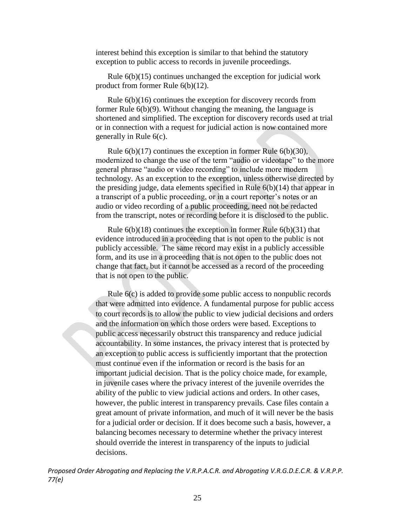interest behind this exception is similar to that behind the statutory exception to public access to records in juvenile proceedings.

Rule 6(b)(15) continues unchanged the exception for judicial work product from former Rule 6(b)(12).

Rule 6(b)(16) continues the exception for discovery records from former Rule 6(b)(9). Without changing the meaning, the language is shortened and simplified. The exception for discovery records used at trial or in connection with a request for judicial action is now contained more generally in Rule 6(c).

Rule 6(b)(17) continues the exception in former Rule 6(b)(30), modernized to change the use of the term "audio or videotape" to the more general phrase "audio or video recording" to include more modern technology. As an exception to the exception, unless otherwise directed by the presiding judge, data elements specified in Rule  $6(b)(14)$  that appear in a transcript of a public proceeding, or in a court reporter's notes or an audio or video recording of a public proceeding, need not be redacted from the transcript, notes or recording before it is disclosed to the public.

Rule  $6(b)(18)$  continues the exception in former Rule  $6(b)(31)$  that evidence introduced in a proceeding that is not open to the public is not publicly accessible. The same record may exist in a publicly accessible form, and its use in a proceeding that is not open to the public does not change that fact, but it cannot be accessed as a record of the proceeding that is not open to the public.

Rule 6(c) is added to provide some public access to nonpublic records that were admitted into evidence. A fundamental purpose for public access to court records is to allow the public to view judicial decisions and orders and the information on which those orders were based. Exceptions to public access necessarily obstruct this transparency and reduce judicial accountability. In some instances, the privacy interest that is protected by an exception to public access is sufficiently important that the protection must continue even if the information or record is the basis for an important judicial decision. That is the policy choice made, for example, in juvenile cases where the privacy interest of the juvenile overrides the ability of the public to view judicial actions and orders. In other cases, however, the public interest in transparency prevails. Case files contain a great amount of private information, and much of it will never be the basis for a judicial order or decision. If it does become such a basis, however, a balancing becomes necessary to determine whether the privacy interest should override the interest in transparency of the inputs to judicial decisions.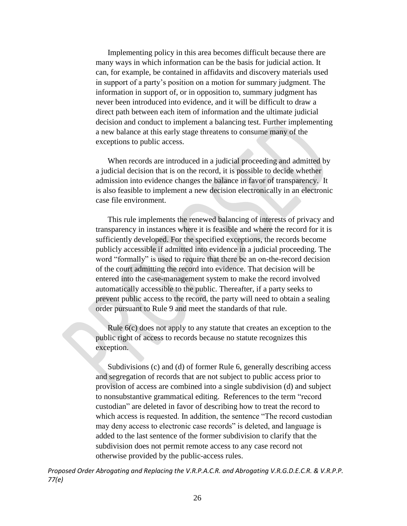Implementing policy in this area becomes difficult because there are many ways in which information can be the basis for judicial action. It can, for example, be contained in affidavits and discovery materials used in support of a party's position on a motion for summary judgment. The information in support of, or in opposition to, summary judgment has never been introduced into evidence, and it will be difficult to draw a direct path between each item of information and the ultimate judicial decision and conduct to implement a balancing test. Further implementing a new balance at this early stage threatens to consume many of the exceptions to public access.

When records are introduced in a judicial proceeding and admitted by a judicial decision that is on the record, it is possible to decide whether admission into evidence changes the balance in favor of transparency. It is also feasible to implement a new decision electronically in an electronic case file environment.

This rule implements the renewed balancing of interests of privacy and transparency in instances where it is feasible and where the record for it is sufficiently developed. For the specified exceptions, the records become publicly accessible if admitted into evidence in a judicial proceeding. The word "formally" is used to require that there be an on-the-record decision of the court admitting the record into evidence. That decision will be entered into the case-management system to make the record involved automatically accessible to the public. Thereafter, if a party seeks to prevent public access to the record, the party will need to obtain a sealing order pursuant to Rule 9 and meet the standards of that rule.

Rule 6(c) does not apply to any statute that creates an exception to the public right of access to records because no statute recognizes this exception.

Subdivisions (c) and (d) of former Rule 6, generally describing access and segregation of records that are not subject to public access prior to provision of access are combined into a single subdivision (d) and subject to nonsubstantive grammatical editing. References to the term "record custodian" are deleted in favor of describing how to treat the record to which access is requested. In addition, the sentence "The record custodian may deny access to electronic case records" is deleted, and language is added to the last sentence of the former subdivision to clarify that the subdivision does not permit remote access to any case record not otherwise provided by the public-access rules.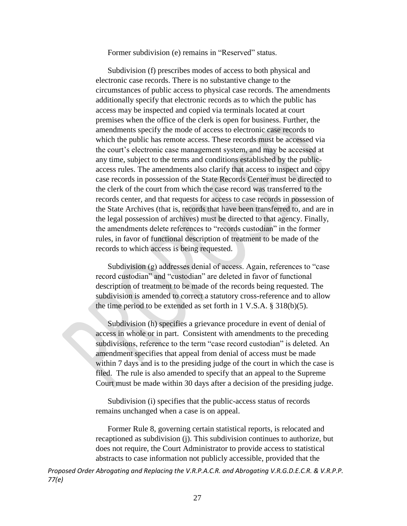Former subdivision (e) remains in "Reserved" status.

Subdivision (f) prescribes modes of access to both physical and electronic case records. There is no substantive change to the circumstances of public access to physical case records. The amendments additionally specify that electronic records as to which the public has access may be inspected and copied via terminals located at court premises when the office of the clerk is open for business. Further, the amendments specify the mode of access to electronic case records to which the public has remote access. These records must be accessed via the court's electronic case management system, and may be accessed at any time, subject to the terms and conditions established by the publicaccess rules. The amendments also clarify that access to inspect and copy case records in possession of the State Records Center must be directed to the clerk of the court from which the case record was transferred to the records center, and that requests for access to case records in possession of the State Archives (that is, records that have been transferred to, and are in the legal possession of archives) must be directed to that agency. Finally, the amendments delete references to "records custodian" in the former rules, in favor of functional description of treatment to be made of the records to which access is being requested.

Subdivision (g) addresses denial of access. Again, references to "case record custodian" and "custodian" are deleted in favor of functional description of treatment to be made of the records being requested. The subdivision is amended to correct a statutory cross-reference and to allow the time period to be extended as set forth in 1 V.S.A. § 318(b)(5).

Subdivision (h) specifies a grievance procedure in event of denial of access in whole or in part. Consistent with amendments to the preceding subdivisions, reference to the term "case record custodian" is deleted. An amendment specifies that appeal from denial of access must be made within 7 days and is to the presiding judge of the court in which the case is filed. The rule is also amended to specify that an appeal to the Supreme Court must be made within 30 days after a decision of the presiding judge.

Subdivision (i) specifies that the public-access status of records remains unchanged when a case is on appeal.

Former Rule 8, governing certain statistical reports, is relocated and recaptioned as subdivision (j). This subdivision continues to authorize, but does not require, the Court Administrator to provide access to statistical abstracts to case information not publicly accessible, provided that the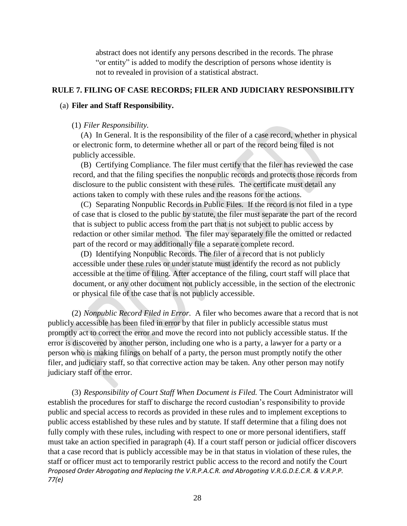abstract does not identify any persons described in the records. The phrase "or entity" is added to modify the description of persons whose identity is not to revealed in provision of a statistical abstract.

## **RULE 7. FILING OF CASE RECORDS; FILER AND JUDICIARY RESPONSIBILITY**

## (a) **Filer and Staff Responsibility.**

## (1) *Filer Responsibility.*

(A) In General. It is the responsibility of the filer of a case record, whether in physical or electronic form, to determine whether all or part of the record being filed is not publicly accessible.

(B) Certifying Compliance. The filer must certify that the filer has reviewed the case record, and that the filing specifies the nonpublic records and protects those records from disclosure to the public consistent with these rules. The certificate must detail any actions taken to comply with these rules and the reasons for the actions.

(C) Separating Nonpublic Records in Public Files. If the record is not filed in a type of case that is closed to the public by statute, the filer must separate the part of the record that is subject to public access from the part that is not subject to public access by redaction or other similar method. The filer may separately file the omitted or redacted part of the record or may additionally file a separate complete record.

(D) Identifying Nonpublic Records. The filer of a record that is not publicly accessible under these rules or under statute must identify the record as not publicly accessible at the time of filing. After acceptance of the filing, court staff will place that document, or any other document not publicly accessible, in the section of the electronic or physical file of the case that is not publicly accessible.

(2) *Nonpublic Record Filed in Error.* A filer who becomes aware that a record that is not publicly accessible has been filed in error by that filer in publicly accessible status must promptly act to correct the error and move the record into not publicly accessible status. If the error is discovered by another person, including one who is a party, a lawyer for a party or a person who is making filings on behalf of a party, the person must promptly notify the other filer, and judiciary staff, so that corrective action may be taken. Any other person may notify judiciary staff of the error.

*Proposed Order Abrogating and Replacing the V.R.P.A.C.R. and Abrogating V.R.G.D.E.C.R. & V.R.P.P. 77(e)* (3) *Responsibility of Court Staff When Document is Filed.* The Court Administrator will establish the procedures for staff to discharge the record custodian's responsibility to provide public and special access to records as provided in these rules and to implement exceptions to public access established by these rules and by statute. If staff determine that a filing does not fully comply with these rules, including with respect to one or more personal identifiers, staff must take an action specified in paragraph (4). If a court staff person or judicial officer discovers that a case record that is publicly accessible may be in that status in violation of these rules, the staff or officer must act to temporarily restrict public access to the record and notify the Court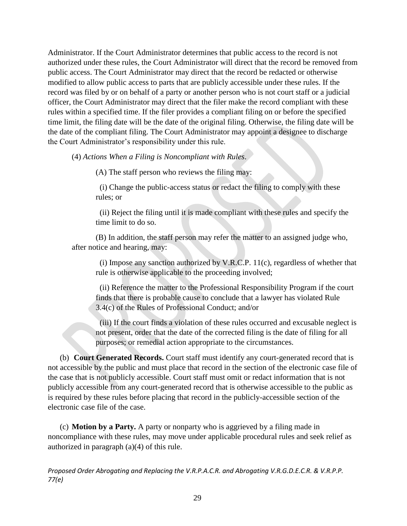Administrator. If the Court Administrator determines that public access to the record is not authorized under these rules, the Court Administrator will direct that the record be removed from public access. The Court Administrator may direct that the record be redacted or otherwise modified to allow public access to parts that are publicly accessible under these rules. If the record was filed by or on behalf of a party or another person who is not court staff or a judicial officer, the Court Administrator may direct that the filer make the record compliant with these rules within a specified time. If the filer provides a compliant filing on or before the specified time limit, the filing date will be the date of the original filing. Otherwise, the filing date will be the date of the compliant filing. The Court Administrator may appoint a designee to discharge the Court Administrator's responsibility under this rule.

(4) *Actions When a Filing is Noncompliant with Rules*.

(A) The staff person who reviews the filing may:

 (i) Change the public-access status or redact the filing to comply with these rules; or

 (ii) Reject the filing until it is made compliant with these rules and specify the time limit to do so.

(B) In addition, the staff person may refer the matter to an assigned judge who, after notice and hearing, may:

 (i) Impose any sanction authorized by V.R.C.P. 11(c), regardless of whether that rule is otherwise applicable to the proceeding involved;

 (ii) Reference the matter to the Professional Responsibility Program if the court finds that there is probable cause to conclude that a lawyer has violated Rule 3.4(c) of the Rules of Professional Conduct; and/or

 (iii) If the court finds a violation of these rules occurred and excusable neglect is not present, order that the date of the corrected filing is the date of filing for all purposes; or remedial action appropriate to the circumstances.

(b) **Court Generated Records.** Court staff must identify any court-generated record that is not accessible by the public and must place that record in the section of the electronic case file of the case that is not publicly accessible. Court staff must omit or redact information that is not publicly accessible from any court-generated record that is otherwise accessible to the public as is required by these rules before placing that record in the publicly-accessible section of the electronic case file of the case.

(c) **Motion by a Party.** A party or nonparty who is aggrieved by a filing made in noncompliance with these rules, may move under applicable procedural rules and seek relief as authorized in paragraph (a)(4) of this rule.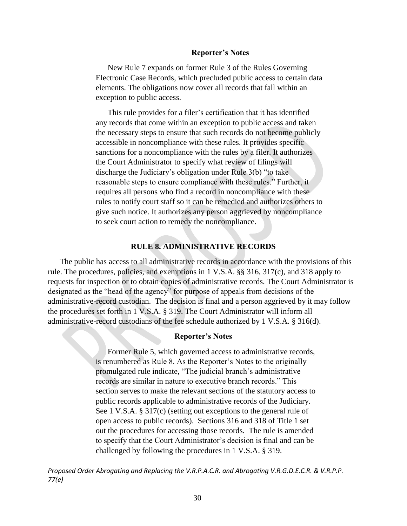#### **Reporter's Notes**

New Rule 7 expands on former Rule 3 of the Rules Governing Electronic Case Records, which precluded public access to certain data elements. The obligations now cover all records that fall within an exception to public access.

This rule provides for a filer's certification that it has identified any records that come within an exception to public access and taken the necessary steps to ensure that such records do not become publicly accessible in noncompliance with these rules. It provides specific sanctions for a noncompliance with the rules by a filer. It authorizes the Court Administrator to specify what review of filings will discharge the Judiciary's obligation under Rule 3(b) "to take reasonable steps to ensure compliance with these rules." Further, it requires all persons who find a record in noncompliance with these rules to notify court staff so it can be remedied and authorizes others to give such notice. It authorizes any person aggrieved by noncompliance to seek court action to remedy the noncompliance.

### **RULE 8. ADMINISTRATIVE RECORDS**

The public has access to all administrative records in accordance with the provisions of this rule. The procedures, policies, and exemptions in [1 V.S.A. §§ 316,](https://1.next.westlaw.com/Link/Document/FullText?findType=L&pubNum=1000883&cite=VTST1S316&originatingDoc=N51721DB0C15F11DD9B80BC94C52D0124&refType=LQ&originationContext=document&transitionType=DocumentItem&contextData=(sc.Document)) [317\(c\),](https://1.next.westlaw.com/Link/Document/FullText?findType=L&pubNum=1000883&cite=VTST1S317&originatingDoc=N51721DB0C15F11DD9B80BC94C52D0124&refType=SP&originationContext=document&transitionType=DocumentItem&contextData=(sc.Document)#co_pp_4b24000003ba5) and [318](https://1.next.westlaw.com/Link/Document/FullText?findType=L&pubNum=1000883&cite=VTST1S318&originatingDoc=N51721DB0C15F11DD9B80BC94C52D0124&refType=LQ&originationContext=document&transitionType=DocumentItem&contextData=(sc.Document)) apply to requests for inspection or to obtain copies of administrative records. The Court Administrator is designated as the "head of the agency" for purpose of appeals from decisions of the administrative-record custodian. The decision is final and a person aggrieved by it may follow the procedures set forth in 1 V.S.A. § 319. The Court Administrator will inform all administrative-record custodians of the fee schedule authorized by [1 V.S.A. § 316\(d\).](https://1.next.westlaw.com/Link/Document/FullText?findType=L&pubNum=1000883&cite=VTST1S316&originatingDoc=N51721DB0C15F11DD9B80BC94C52D0124&refType=SP&originationContext=document&transitionType=DocumentItem&contextData=(sc.Document)#co_pp_5ba1000067d06)

#### **Reporter's Notes**

Former Rule 5, which governed access to administrative records, is renumbered as Rule 8. As the Reporter's Notes to the originally promulgated rule indicate, "The judicial branch's administrative records are similar in nature to executive branch records." This section serves to make the relevant sections of the statutory access to public records applicable to administrative records of the Judiciary. See 1 V.S.A. § 317(c) (setting out exceptions to the general rule of open access to public records). Sections 316 and 318 of Title 1 set out the procedures for accessing those records. The rule is amended to specify that the Court Administrator's decision is final and can be challenged by following the procedures in 1 V.S.A. § 319.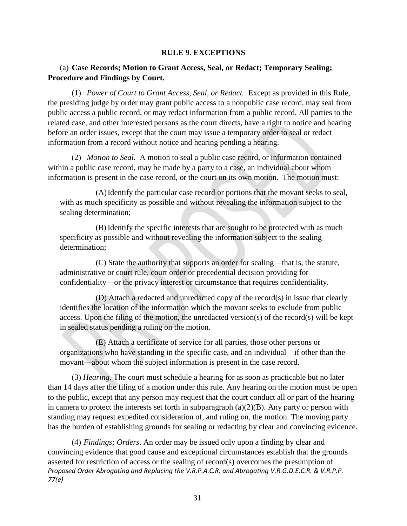### **RULE 9. EXCEPTIONS**

# (a) **Case Records; Motion to Grant Access, Seal, or Redact; Temporary Sealing; Procedure and Findings by Court.**

(1) *Power of Court to Grant Access, Seal, or Redact.* Except as provided in this Rule, the presiding judge by order may grant public access to a nonpublic case record, may seal from public access a public record, or may redact information from a public record. All parties to the related case, and other interested persons as the court directs, have a right to notice and hearing before an order issues, except that the court may issue a temporary order to seal or redact information from a record without notice and hearing pending a hearing.

(2) *Motion to Seal.* A motion to seal a public case record, or information contained within a public case record, may be made by a party to a case, an individual about whom information is present in the case record, or the court on its own motion. The motion must:

(A)Identify the particular case record or portions that the movant seeks to seal, with as much specificity as possible and without revealing the information subject to the sealing determination;

(B) Identify the specific interests that are sought to be protected with as much specificity as possible and without revealing the information subject to the sealing determination;

(C) State the authority that supports an order for sealing—that is, the statute, administrative or court rule, court order or precedential decision providing for confidentiality—or the privacy interest or circumstance that requires confidentiality.

(D) Attach a redacted and unredacted copy of the record(s) in issue that clearly identifies the location of the information which the movant seeks to exclude from public access. Upon the filing of the motion, the unredacted version(s) of the record(s) will be kept in sealed status pending a ruling on the motion.

(E) Attach a certificate of service for all parties, those other persons or organizations who have standing in the specific case, and an individual—if other than the movant—about whom the subject information is present in the case record.

(3) *Hearing.* The court must schedule a hearing for as soon as practicable but no later than 14 days after the filing of a motion under this rule. Any hearing on the motion must be open to the public, except that any person may request that the court conduct all or part of the hearing in camera to protect the interests set forth in subparagraph  $(a)(2)(B)$ . Any party or person with standing may request expedited consideration of, and ruling on, the motion. The moving party has the burden of establishing grounds for sealing or redacting by clear and convincing evidence.

*Proposed Order Abrogating and Replacing the V.R.P.A.C.R. and Abrogating V.R.G.D.E.C.R. & V.R.P.P. 77(e)* (4) *Findings; Orders*. An order may be issued only upon a finding by clear and convincing evidence that good cause and exceptional circumstances establish that the grounds asserted for restriction of access or the sealing of record(s) overcomes the presumption of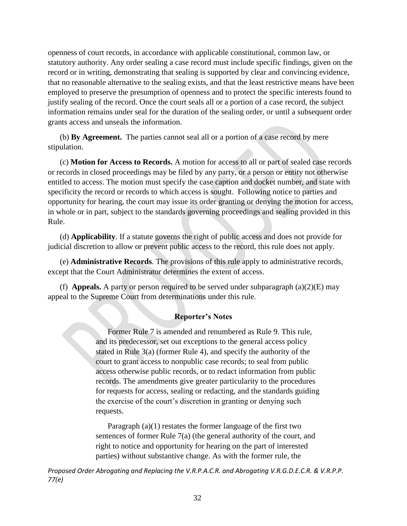openness of court records, in accordance with applicable constitutional, common law, or statutory authority. Any order sealing a case record must include specific findings, given on the record or in writing, demonstrating that sealing is supported by clear and convincing evidence, that no reasonable alternative to the sealing exists, and that the least restrictive means have been employed to preserve the presumption of openness and to protect the specific interests found to justify sealing of the record. Once the court seals all or a portion of a case record, the subject information remains under seal for the duration of the sealing order, or until a subsequent order grants access and unseals the information.

(b) **By Agreement.** The parties cannot seal all or a portion of a case record by mere stipulation.

(c) **Motion for Access to Records.** A motion for access to all or part of sealed case records or records in closed proceedings may be filed by any party, or a person or entity not otherwise entitled to access. The motion must specify the case caption and docket number, and state with specificity the record or records to which access is sought. Following notice to parties and opportunity for hearing, the court may issue its order granting or denying the motion for access, in whole or in part, subject to the standards governing proceedings and sealing provided in this Rule.

(d) **Applicability**. If a statute governs the right of public access and does not provide for judicial discretion to allow or prevent public access to the record, this rule does not apply.

(e) **Administrative Records**. The provisions of this rule apply to administrative records, except that the Court Administrator determines the extent of access.

(f) **Appeals.** A party or person required to be served under subparagraph  $(a)(2)(E)$  may appeal to the Supreme Court from determinations under this rule.

# **Reporter's Notes**

Former Rule 7 is amended and renumbered as Rule 9. This rule, and its predecessor, set out exceptions to the general access policy stated in Rule 3(a) (former Rule 4), and specify the authority of the court to grant access to nonpublic case records; to seal from public access otherwise public records, or to redact information from public records. The amendments give greater particularity to the procedures for requests for access, sealing or redacting, and the standards guiding the exercise of the court's discretion in granting or denying such requests.

Paragraph (a)(1) restates the former language of the first two sentences of former Rule 7(a) (the general authority of the court, and right to notice and opportunity for hearing on the part of interested parties) without substantive change. As with the former rule, the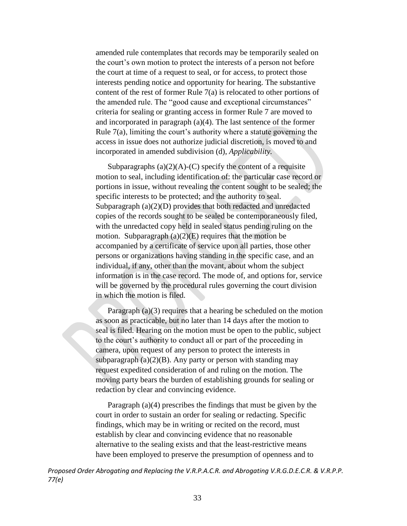amended rule contemplates that records may be temporarily sealed on the court's own motion to protect the interests of a person not before the court at time of a request to seal, or for access, to protect those interests pending notice and opportunity for hearing. The substantive content of the rest of former Rule 7(a) is relocated to other portions of the amended rule. The "good cause and exceptional circumstances" criteria for sealing or granting access in former Rule 7 are moved to and incorporated in paragraph (a)(4). The last sentence of the former Rule 7(a), limiting the court's authority where a statute governing the access in issue does not authorize judicial discretion, is moved to and incorporated in amended subdivision (d), *Applicability.*

Subparagraphs  $(a)(2)(A)-(C)$  specify the content of a requisite motion to seal, including identification of: the particular case record or portions in issue, without revealing the content sought to be sealed; the specific interests to be protected; and the authority to seal. Subparagraph (a)(2)(D) provides that both redacted and unredacted copies of the records sought to be sealed be contemporaneously filed, with the unredacted copy held in sealed status pending ruling on the motion. Subparagraph  $(a)(2)(E)$  requires that the motion be accompanied by a certificate of service upon all parties, those other persons or organizations having standing in the specific case, and an individual, if any, other than the movant, about whom the subject information is in the case record. The mode of, and options for, service will be governed by the procedural rules governing the court division in which the motion is filed.

Paragraph (a)(3) requires that a hearing be scheduled on the motion as soon as practicable, but no later than 14 days after the motion to seal is filed. Hearing on the motion must be open to the public, subject to the court's authority to conduct all or part of the proceeding in camera, upon request of any person to protect the interests in subparagraph  $(a)(2)(B)$ . Any party or person with standing may request expedited consideration of and ruling on the motion. The moving party bears the burden of establishing grounds for sealing or redaction by clear and convincing evidence.

Paragraph (a)(4) prescribes the findings that must be given by the court in order to sustain an order for sealing or redacting. Specific findings, which may be in writing or recited on the record, must establish by clear and convincing evidence that no reasonable alternative to the sealing exists and that the least-restrictive means have been employed to preserve the presumption of openness and to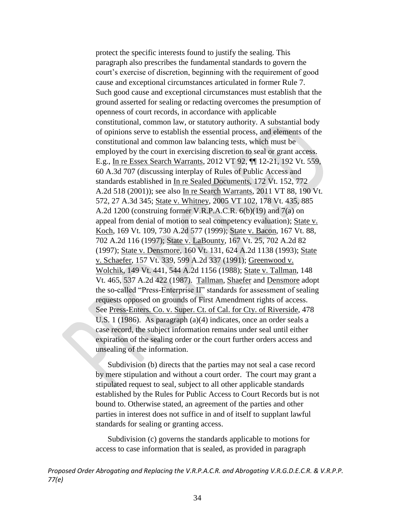protect the specific interests found to justify the sealing. This paragraph also prescribes the fundamental standards to govern the court's exercise of discretion, beginning with the requirement of good cause and exceptional circumstances articulated in former Rule 7. Such good cause and exceptional circumstances must establish that the ground asserted for sealing or redacting overcomes the presumption of openness of court records, in accordance with applicable constitutional, common law, or statutory authority. A substantial body of opinions serve to establish the essential process, and elements of the constitutional and common law balancing tests, which must be employed by the court in exercising discretion to seal or grant access. E.g., In re Essex Search Warrants, 2012 VT 92, ¶¶ 12-21, 192 Vt. 559, 60 A.3d 707 (discussing interplay of Rules of Public Access and standards established in In re Sealed Documents, 172 Vt. 152, 772 A.2d 518 (2001)); see also In re Search Warrants, 2011 VT 88, 190 Vt. 572, 27 A.3d 345; State v. Whitney, 2005 VT 102, 178 Vt. 435, 885 A.2d 1200 (construing former V.R.P.A.C.R. 6(b)(19) and 7(a) on appeal from denial of motion to seal competency evaluation); State v. Koch, 169 Vt. 109, 730 A.2d 577 (1999); State v. Bacon, 167 Vt. 88, 702 A.2d 116 (1997); State v. LaBounty, 167 Vt. 25, 702 A.2d 82 (1997); State v. Densmore, 160 Vt. 131, 624 A.2d 1138 (1993); State v. Schaefer, 157 Vt. 339, 599 A.2d 337 (1991); Greenwood v. Wolchik, 149 Vt. 441, 544 A.2d 1156 (1988); State v. Tallman, 148 Vt. 465, 537 A.2d 422 (1987). Tallman, Shaefer and Densmore adopt the so-called "Press-Enterprise II" standards for assessment of sealing requests opposed on grounds of First Amendment rights of access. See Press-Enters. Co. v. Super. Ct. of Cal. for Cty. of Riverside, 478 U.S. 1 (1986). As paragraph (a)(4) indicates, once an order seals a case record, the subject information remains under seal until either expiration of the sealing order or the court further orders access and unsealing of the information.

Subdivision (b) directs that the parties may not seal a case record by mere stipulation and without a court order. The court may grant a stipulated request to seal, subject to all other applicable standards established by the Rules for Public Access to Court Records but is not bound to. Otherwise stated, an agreement of the parties and other parties in interest does not suffice in and of itself to supplant lawful standards for sealing or granting access.

Subdivision (c) governs the standards applicable to motions for access to case information that is sealed, as provided in paragraph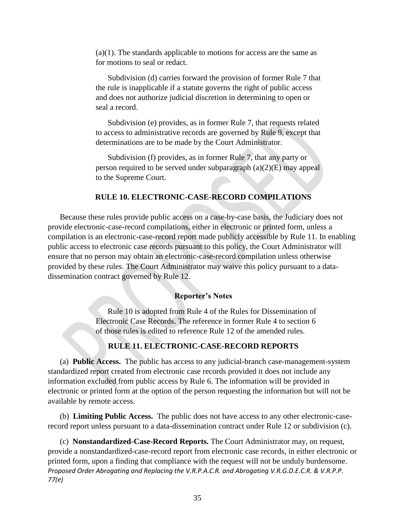$(a)(1)$ . The standards applicable to motions for access are the same as for motions to seal or redact.

Subdivision (d) carries forward the provision of former Rule 7 that the rule is inapplicable if a statute governs the right of public access and does not authorize judicial discretion in determining to open or seal a record.

Subdivision (e) provides, as in former Rule 7, that requests related to access to administrative records are governed by Rule 9, except that determinations are to be made by the Court Administrator.

Subdivision (f) provides, as in former Rule 7, that any party or person required to be served under subparagraph (a)(2)(E) may appeal to the Supreme Court.

# **RULE 10. ELECTRONIC-CASE-RECORD COMPILATIONS**

Because these rules provide public access on a case-by-case basis, the Judiciary does not provide electronic-case-record compilations, either in electronic or printed form, unless a compilation is an electronic-case-record report made publicly accessible by Rule 11. In enabling public access to electronic case records pursuant to this policy, the Court Administrator will ensure that no person may obtain an electronic-case-record compilation unless otherwise provided by these rules. The Court Administrator may waive this policy pursuant to a datadissemination contract governed by Rule 12.

#### **Reporter's Notes**

Rule 10 is adopted from Rule 4 of the Rules for Dissemination of Electronic Case Records. The reference in former Rule 4 to section 6 of those rules is edited to reference Rule 12 of the amended rules.

#### **RULE 11. ELECTRONIC-CASE-RECORD REPORTS**

(a) **Public Access.** The public has access to any judicial-branch case-management-system standardized report created from electronic case records provided it does not include any information excluded from public access by Rule 6. The information will be provided in electronic or printed form at the option of the person requesting the information but will not be available by remote access.

(b) **Limiting Public Access.** The public does not have access to any other electronic-caserecord report unless pursuant to a data-dissemination contract under Rule 12 or subdivision (c).

*Proposed Order Abrogating and Replacing the V.R.P.A.C.R. and Abrogating V.R.G.D.E.C.R. & V.R.P.P. 77(e)* (c) **Nonstandardized-Case-Record Reports.** The Court Administrator may, on request, provide a nonstandardized-case-record report from electronic case records, in either electronic or printed form, upon a finding that compliance with the request will not be unduly burdensome.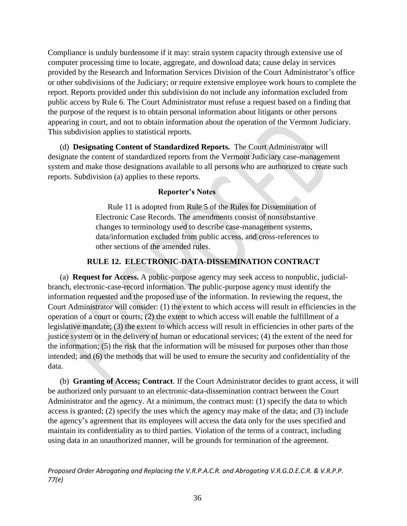Compliance is unduly burdensome if it may: strain system capacity through extensive use of computer processing time to locate, aggregate, and download data; cause delay in services provided by the Research and Information Services Division of the Court Administrator's office or other subdivisions of the Judiciary; or require extensive employee work hours to complete the report. Reports provided under this subdivision do not include any information excluded from public access by Rule 6. The Court Administrator must refuse a request based on a finding that the purpose of the request is to obtain personal information about litigants or other persons appearing in court, and not to obtain information about the operation of the Vermont Judiciary. This subdivision applies to statistical reports.

(d) **Designating Content of Standardized Reports.** The Court Administrator will designate the content of standardized reports from the Vermont Judiciary case-management system and make those designations available to all persons who are authorized to create such reports. Subdivision (a) applies to these reports.

# **Reporter's Notes**

Rule 11 is adopted from Rule 5 of the Rules for Dissemination of Electronic Case Records. The amendments consist of nonsubstantive changes to terminology used to describe case-management systems, data/information excluded from public access, and cross-references to other sections of the amended rules.

# **RULE 12. ELECTRONIC-DATA-DISSEMINATION CONTRACT**

(a) **Request for Access.** A public-purpose agency may seek access to nonpublic, judicialbranch, electronic-case-record information. The public-purpose agency must identify the information requested and the proposed use of the information. In reviewing the request, the Court Administrator will consider: (1) the extent to which access will result in efficiencies in the operation of a court or courts; (2) the extent to which access will enable the fulfillment of a legislative mandate; (3) the extent to which access will result in efficiencies in other parts of the justice system or in the delivery of human or educational services; (4) the extent of the need for the information; (5) the risk that the information will be misused for purposes other than those intended; and (6) the methods that will be used to ensure the security and confidentiality of the data.

(b) **Granting of Access; Contract**. If the Court Administrator decides to grant access, it will be authorized only pursuant to an electronic-data-dissemination contract between the Court Administrator and the agency. At a minimum, the contract must: (1) specify the data to which access is granted; (2) specify the uses which the agency may make of the data; and (3) include the agency's agreement that its employees will access the data only for the uses specified and maintain its confidentiality as to third parties. Violation of the terms of a contract, including using data in an unauthorized manner, will be grounds for termination of the agreement.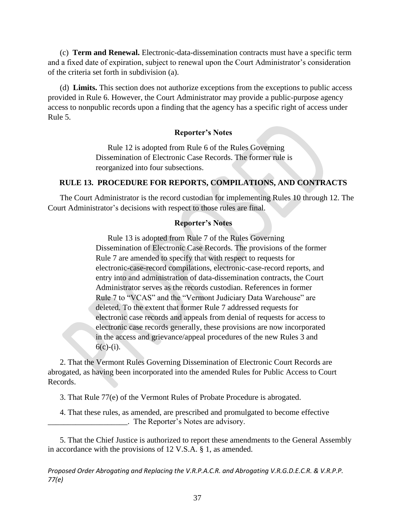(c) **Term and Renewal.** Electronic-data-dissemination contracts must have a specific term and a fixed date of expiration, subject to renewal upon the Court Administrator's consideration of the criteria set forth in subdivision (a).

(d) **Limits.** This section does not authorize exceptions from the exceptions to public access provided in Rule 6. However, the Court Administrator may provide a public-purpose agency access to nonpublic records upon a finding that the agency has a specific right of access under Rule 5.

### **Reporter's Notes**

Rule 12 is adopted from Rule 6 of the Rules Governing Dissemination of Electronic Case Records. The former rule is reorganized into four subsections.

# **RULE 13. PROCEDURE FOR REPORTS, COMPILATIONS, AND CONTRACTS**

The Court Administrator is the record custodian for implementing Rules 10 through 12. The Court Administrator's decisions with respect to those rules are final.

#### **Reporter's Notes**

Rule 13 is adopted from Rule 7 of the Rules Governing Dissemination of Electronic Case Records. The provisions of the former Rule 7 are amended to specify that with respect to requests for electronic-case-record compilations, electronic-case-record reports, and entry into and administration of data-dissemination contracts, the Court Administrator serves as the records custodian. References in former Rule 7 to "VCAS" and the "Vermont Judiciary Data Warehouse" are deleted. To the extent that former Rule 7 addressed requests for electronic case records and appeals from denial of requests for access to electronic case records generally, these provisions are now incorporated in the access and grievance/appeal procedures of the new Rules 3 and  $6(c)-(i)$ .

2. That the Vermont Rules Governing Dissemination of Electronic Court Records are abrogated, as having been incorporated into the amended Rules for Public Access to Court Records.

3. That Rule 77(e) of the Vermont Rules of Probate Procedure is abrogated.

4. That these rules, as amended, are prescribed and promulgated to become effective \_\_\_\_\_\_\_\_\_\_\_\_\_\_\_\_\_\_\_\_. The Reporter's Notes are advisory.

5. That the Chief Justice is authorized to report these amendments to the General Assembly in accordance with the provisions of 12 V.S.A. § 1, as amended.